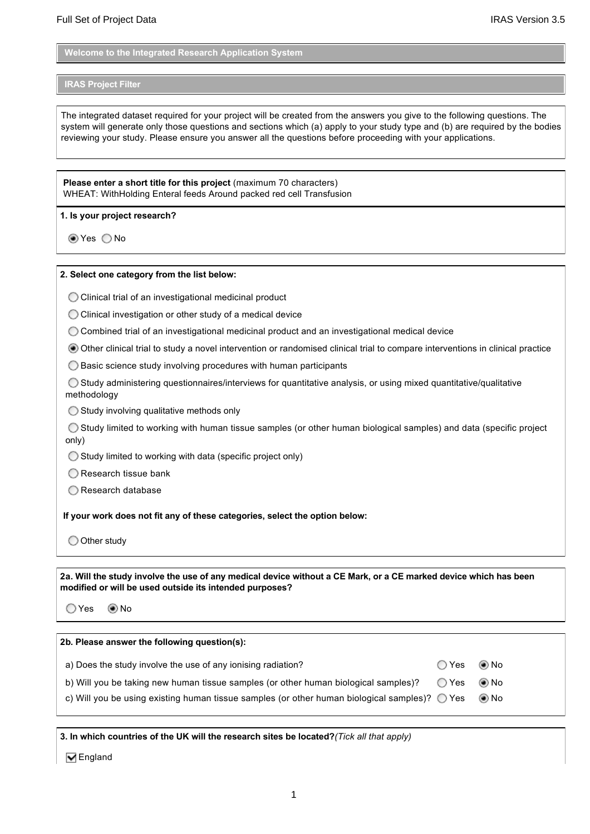**Welcome to the Integrated Research Application System**

#### **IRAS Project Filter**

The integrated dataset required for your project will be created from the answers you give to the following questions. The system will generate only those questions and sections which (a) apply to your study type and (b) are required by the bodies reviewing your study. Please ensure you answer all the questions before proceeding with your applications.

**Please enter a short title for this project** (maximum 70 characters) WHEAT: WithHolding Enteral feeds Around packed red cell Transfusion

**1. Is your project research?**

tes ○No

#### **2. Select one category from the list below:**

Clinical trial of an investigational medicinal product

 $\bigcirc$  Clinical investigation or other study of a medical device

Combined trial of an investigational medicinal product and an investigational medical device

Other clinical trial to study a novel intervention or randomised clinical trial to compare interventions in clinical practice

 $\bigcirc$  Basic science study involving procedures with human participants

 Study administering questionnaires/interviews for quantitative analysis, or using mixed quantitative/qualitative methodology

 $\bigcirc$  Study involving qualitative methods only

 Study limited to working with human tissue samples (or other human biological samples) and data (specific project only)

 $\bigcirc$  Study limited to working with data (specific project only)

 $\bigcirc$  Research tissue bank

◯ Research database

**If your work does not fit any of these categories, select the option below:**

O Other study

**2a. Will the study involve the use of any medical device without a CE Mark, or a CE marked device which has been modified or will be used outside its intended purposes?**

Yes No

| 2b. Please answer the following question(s):                                                           |               |       |
|--------------------------------------------------------------------------------------------------------|---------------|-------|
| a) Does the study involve the use of any ionising radiation?                                           | $OYes$ $O$ No |       |
| b) Will you be taking new human tissue samples (or other human biological samples)?                    | ◯ Yes         | () No |
| c) Will you be using existing human tissue samples (or other human biological samples)? $\bigcirc$ Yes |               | () No |

**3. In which countries of the UK will the research sites be located?***(Tick all that apply)*

**V** England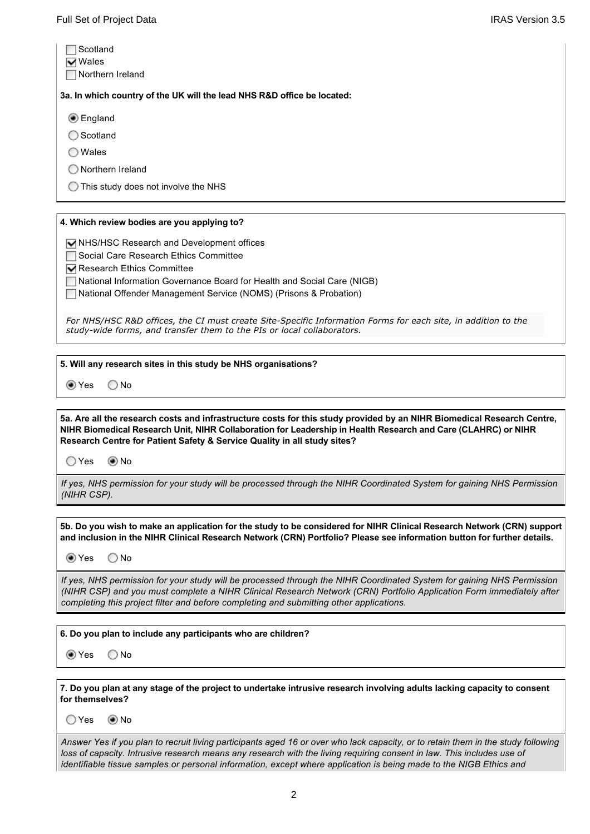| Scotland                                                                |
|-------------------------------------------------------------------------|
| $\overline{\mathbf{v}}$ Wales                                           |
| Northern Ireland                                                        |
| 3a. In which country of the UK will the lead NHS R&D office be located: |
| <b>●</b> England                                                        |
| Scotland<br>О                                                           |
| Wales<br>$\left( \begin{array}{c} \end{array} \right)$                  |
| Northern Ireland<br>Э                                                   |
| This study does not involve the NHS<br>0                                |
|                                                                         |

### **4. Which review bodies are you applying to?**

NHS/HSC Research and Development offices

Social Care Research Ethics Committee

Research Ethics Committee

National Information Governance Board for Health and Social Care (NIGB)

National Offender Management Service (NOMS) (Prisons & Probation)

For NHS/HSC R&D offices, the CI must create Site-Specific Information Forms for each site, in addition to the study-wide forms, and transfer them to the PIs or local collaborators.

#### **5. Will any research sites in this study be NHS organisations?**

tes ○No

**5a. Are all the research costs and infrastructure costs for this study provided by an NIHR Biomedical Research Centre, NIHR Biomedical Research Unit, NIHR Collaboration for Leadership in Health Research and Care (CLAHRC) or NIHR Research Centre for Patient Safety & Service Quality in all study sites?**

○Yes ◉No

*If yes, NHS permission for your study will be processed through the NIHR Coordinated System for gaining NHS Permission (NIHR CSP).*

**5b. Do you wish to make an application for the study to be considered for NIHR Clinical Research Network (CRN) support and inclusion in the NIHR Clinical Research Network (CRN) Portfolio? Please see information button for further details.**

tes ONo

*If yes, NHS permission for your study will be processed through the NIHR Coordinated System for gaining NHS Permission (NIHR CSP) and you must complete a NIHR Clinical Research Network (CRN) Portfolio Application Form immediately after completing this project filter and before completing and submitting other applications.*

**6. Do you plan to include any participants who are children?**

to Yes 
○No

**7. Do you plan at any stage of the project to undertake intrusive research involving adults lacking capacity to consent for themselves?**

O Yes <br>
<sup>O</sup> No

*Answer Yes if you plan to recruit living participants aged 16 or over who lack capacity, or to retain them in the study following*  loss of capacity. Intrusive research means any research with the living requiring consent in law. This includes use of *identifiable tissue samples or personal information, except where application is being made to the NIGB Ethics and*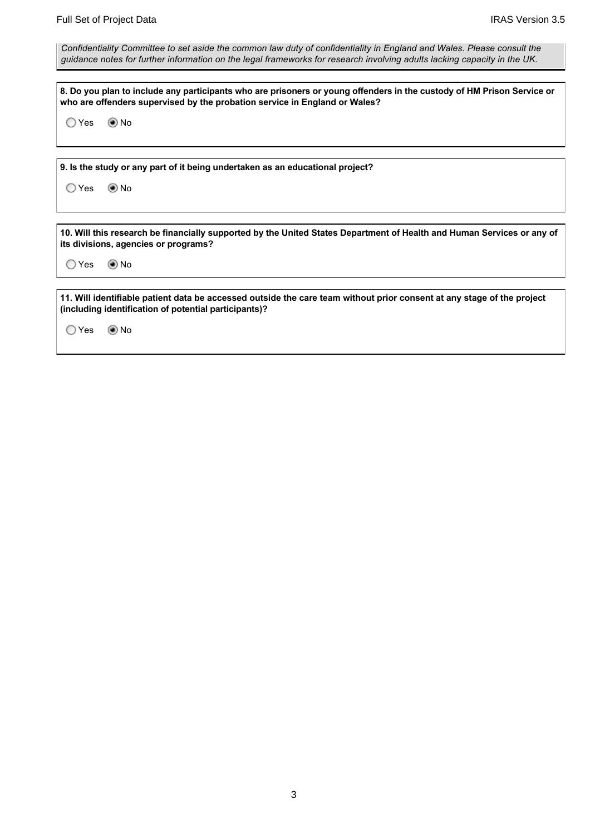*Confidentiality Committee to set aside the common law duty of confidentiality in England and Wales. Please consult the guidance notes for further information on the legal frameworks for research involving adults lacking capacity in the UK.*

**8. Do you plan to include any participants who are prisoners or young offenders in the custody of HM Prison Service or who are offenders supervised by the probation service in England or Wales?**

○Yes ◉No

**9. Is the study or any part of it being undertaken as an educational project?**

○Yes ◎No

**10. Will this research be financially supported by the United States Department of Health and Human Services or any of its divisions, agencies or programs?**

○Yes ◉No

**11. Will identifiable patient data be accessed outside the care team without prior consent at any stage of the project (including identification of potential participants)?**

○Yes ◉No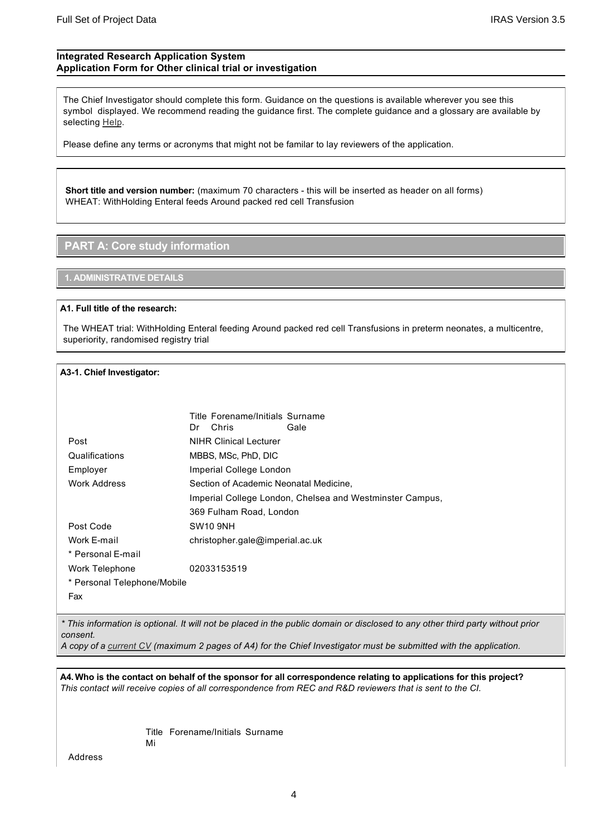### **Integrated Research Application System Application Form for Other clinical trial or investigation**

The Chief Investigator should complete this form. Guidance on the questions is available wherever you see this symbol displayed. We recommend reading the guidance first. The complete guidance and a glossary are available by selecting [Help](https://www.myresearchproject.org.uk/temp/Help/Information.aspx).

Please define any terms or acronyms that might not be familar to lay reviewers of the application.

**Short title and version number:** (maximum 70 characters this will be inserted as header on all forms) WHEAT: WithHolding Enteral feeds Around packed red cell Transfusion

## **PART A: Core study information**

### **1. ADMINISTRATIVE DETAILS**

#### **A1. Full title of the research:**

The WHEAT trial: WithHolding Enteral feeding Around packed red cell Transfusions in preterm neonates, a multicentre, superiority, randomised registry trial

### **A31. Chief Investigator:**

|                             | Title Forename/Initials Surname        |                                                          |
|-----------------------------|----------------------------------------|----------------------------------------------------------|
|                             | Chris<br>Dr                            | Gale                                                     |
| Post                        | <b>NIHR Clinical Lecturer</b>          |                                                          |
| Qualifications              | MBBS, MSc, PhD, DIC                    |                                                          |
| Employer                    | Imperial College London                |                                                          |
| Work Address                | Section of Academic Neonatal Medicine, |                                                          |
|                             |                                        | Imperial College London, Chelsea and Westminster Campus, |
|                             | 369 Fulham Road, London                |                                                          |
| Post Code                   | SW10 9NH                               |                                                          |
| Work E-mail                 | christopher.gale@imperial.ac.uk        |                                                          |
| * Personal E-mail           |                                        |                                                          |
| Work Telephone              | 02033153519                            |                                                          |
| * Personal Telephone/Mobile |                                        |                                                          |
| Fax                         |                                        |                                                          |

*\* This information is optional. It will not be placed in the public domain or disclosed to any other third party without prior consent.*

*A copy of a [current CV](https://www.myresearchproject.org.uk/temp/Users/EditCVNoMenu.aspx) (maximum 2 pages of A4) for the Chief Investigator must be submitted with the application.*

**A4. Who is the contact on behalf of the sponsor for all correspondence relating to applications for this project?** *This contact will receive copies of all correspondence from REC and R&D reviewers that is sent to the CI.*

> Title Forename/Initials Surname Mi

Address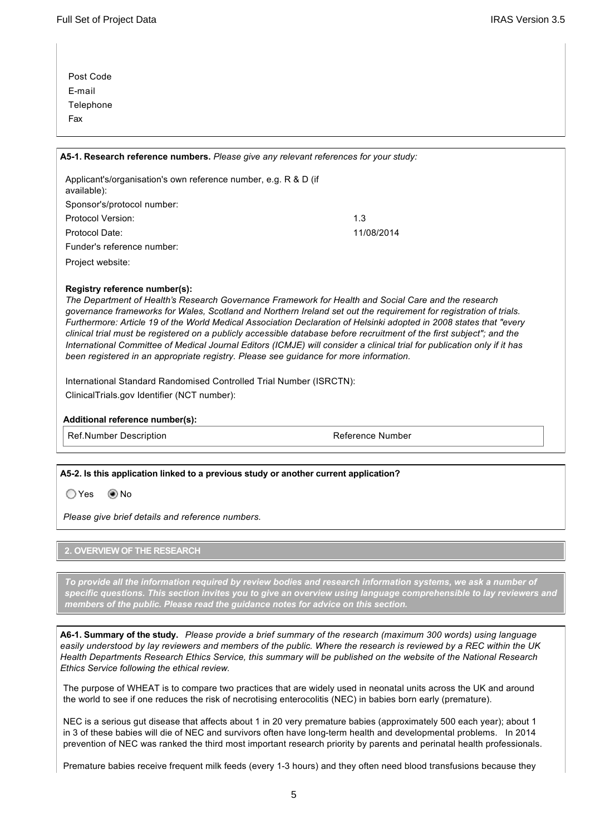| Post Code |
|-----------|
| E-mail    |
| Telephone |
| Fax       |

# **A51. Research reference numbers.** *Please give any relevant references for your study:* Applicant's/organisation's own reference number, e.g. R & D (if available): Sponsor's/protocol number:

| Protocol Date:             |
|----------------------------|
| Funder's reference number: |

Project website:

### **Registry reference number(s):**

*The Department of Health's Research Governance Framework for Health and Social Care and the research governance frameworks for Wales, Scotland and Northern Ireland set out the requirement for registration of trials. Furthermore: Article 19 of the World Medical Association Declaration of Helsinki adopted in 2008 states that "every clinical trial must be registered on a publicly accessible database before recruitment of the first subject"; and the International Committee of Medical Journal Editors (ICMJE) will consider a clinical trial for publication only if it has been registered in an appropriate registry. Please see guidance for more information.*

International Standard Randomised Controlled Trial Number (ISRCTN): ClinicalTrials.gov Identifier (NCT number):

Protocol Version: 1.3

### **Additional reference number(s):**

Ref.Number Description and the control of the Reference Number

Protocol Date: 11/08/2014

### **A52. Is this application linked to a previous study or another current application?**

O Yes **Mo** No

*Please give brief details and reference numbers.*

### **2. OVERVIEW OF THE RESEARCH**

*To provide all the information required by review bodies and research information systems, we ask a number of specific questions. This section invites you to give an overview using language comprehensible to lay reviewers and members of the public. Please read the guidance notes for advice on this section.*

**A61. Summary of the study.** *Please provide a brief summary of the research (maximum 300 words) using language easily understood by lay reviewers and members of the public. Where the research is reviewed by a REC within the UK Health Departments Research Ethics Service, this summary will be published on the website of the National Research Ethics Service following the ethical review.*

The purpose of WHEAT is to compare two practices that are widely used in neonatal units across the UK and around the world to see if one reduces the risk of necrotising enterocolitis (NEC) in babies born early (premature).

NEC is a serious gut disease that affects about 1 in 20 very premature babies (approximately 500 each year); about 1 in 3 of these babies will die of NEC and survivors often have long-term health and developmental problems. In 2014 prevention of NEC was ranked the third most important research priority by parents and perinatal health professionals.

Premature babies receive frequent milk feeds (every 1-3 hours) and they often need blood transfusions because they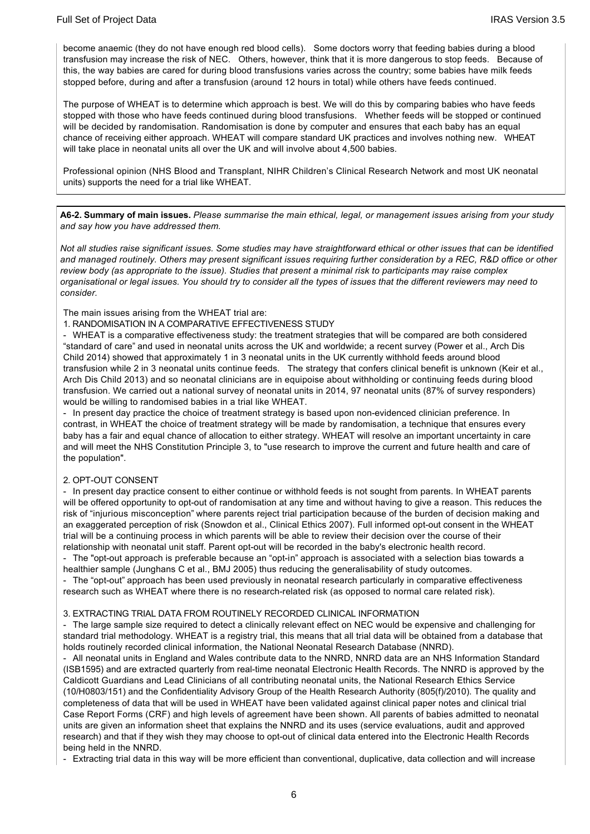become anaemic (they do not have enough red blood cells). Some doctors worry that feeding babies during a blood transfusion may increase the risk of NEC. Others, however, think that it is more dangerous to stop feeds. Because of this, the way babies are cared for during blood transfusions varies across the country; some babies have milk feeds stopped before, during and after a transfusion (around 12 hours in total) while others have feeds continued.

The purpose of WHEAT is to determine which approach is best. We will do this by comparing babies who have feeds stopped with those who have feeds continued during blood transfusions. Whether feeds will be stopped or continued will be decided by randomisation. Randomisation is done by computer and ensures that each baby has an equal chance of receiving either approach. WHEAT will compare standard UK practices and involves nothing new. WHEAT will take place in neonatal units all over the UK and will involve about 4,500 babies.

Professional opinion (NHS Blood and Transplant, NIHR Children's Clinical Research Network and most UK neonatal units) supports the need for a trial like WHEAT.

**A62. Summary of main issues.** *Please summarise the main ethical, legal, or management issues arising from your study and say how you have addressed them.*

*Not all studies raise significant issues. Some studies may have straightforward ethical or other issues that can be identified and managed routinely. Others may present significant issues requiring further consideration by a REC, R&D office or other review body (as appropriate to the issue). Studies that present a minimal risk to participants may raise complex organisational or legal issues. You should try to consider all the types of issues that the different reviewers may need to consider.*

The main issues arising from the WHEAT trial are:

#### 1. RANDOMISATION IN A COMPARATIVE EFFECTIVENESS STUDY

 WHEAT is a comparative effectiveness study: the treatment strategies that will be compared are both considered "standard of care" and used in neonatal units across the UK and worldwide; a recent survey (Power et al., Arch Dis Child 2014) showed that approximately 1 in 3 neonatal units in the UK currently withhold feeds around blood transfusion while 2 in 3 neonatal units continue feeds. The strategy that confers clinical benefit is unknown (Keir et al., Arch Dis Child 2013) and so neonatal clinicians are in equipoise about withholding or continuing feeds during blood transfusion. We carried out a national survey of neonatal units in 2014, 97 neonatal units (87% of survey responders) would be willing to randomised babies in a trial like WHEAT.

- In present day practice the choice of treatment strategy is based upon non-evidenced clinician preference. In contrast, in WHEAT the choice of treatment strategy will be made by randomisation, a technique that ensures every baby has a fair and equal chance of allocation to either strategy. WHEAT will resolve an important uncertainty in care and will meet the NHS Constitution Principle 3, to "use research to improve the current and future health and care of the population".

#### 2. OPT-OUT CONSENT

- In present day practice consent to either continue or withhold feeds is not sought from parents. In WHEAT parents will be offered opportunity to opt-out of randomisation at any time and without having to give a reason. This reduces the risk of "injurious misconception" where parents reject trial participation because of the burden of decision making and an exaggerated perception of risk (Snowdon et al., Clinical Ethics 2007). Full informed opt-out consent in the WHEAT trial will be a continuing process in which parents will be able to review their decision over the course of their relationship with neonatal unit staff. Parent opt-out will be recorded in the baby's electronic health record.

- The "opt-out approach is preferable because an "opt-in" approach is associated with a selection bias towards a healthier sample (Junghans C et al., BMJ 2005) thus reducing the generalisability of study outcomes.

- The "opt-out" approach has been used previously in neonatal research particularly in comparative effectiveness research such as WHEAT where there is no research-related risk (as opposed to normal care related risk).

#### 3. EXTRACTING TRIAL DATA FROM ROUTINELY RECORDED CLINICAL INFORMATION

 The large sample size required to detect a clinically relevant effect on NEC would be expensive and challenging for standard trial methodology. WHEAT is a registry trial, this means that all trial data will be obtained from a database that holds routinely recorded clinical information, the National Neonatal Research Database (NNRD).

 All neonatal units in England and Wales contribute data to the NNRD, NNRD data are an NHS Information Standard (ISB1595) and are extracted quarterly from real-time neonatal Electronic Health Records. The NNRD is approved by the Caldicott Guardians and Lead Clinicians of all contributing neonatal units, the National Research Ethics Service (10/H0803/151) and the Confidentiality Advisory Group of the Health Research Authority (805(f)/2010). The quality and completeness of data that will be used in WHEAT have been validated against clinical paper notes and clinical trial Case Report Forms (CRF) and high levels of agreement have been shown. All parents of babies admitted to neonatal units are given an information sheet that explains the NNRD and its uses (service evaluations, audit and approved research) and that if they wish they may choose to opt-out of clinical data entered into the Electronic Health Records being held in the NNRD.

Extracting trial data in this way will be more efficient than conventional, duplicative, data collection and will increase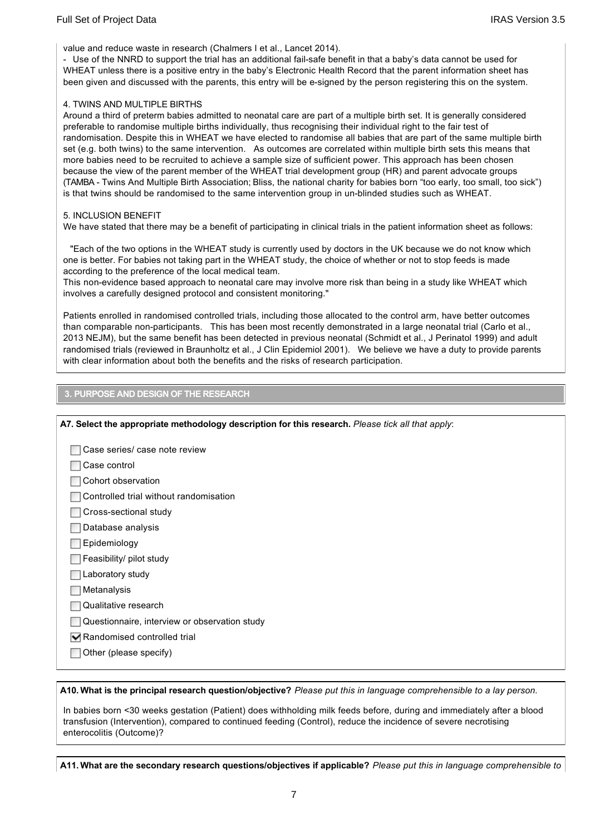value and reduce waste in research (Chalmers I et al., Lancet 2014).

- Use of the NNRD to support the trial has an additional fail-safe benefit in that a baby's data cannot be used for WHEAT unless there is a positive entry in the baby's Electronic Health Record that the parent information sheet has been given and discussed with the parents, this entry will be esigned by the person registering this on the system.

#### 4. TWINS AND MULTIPLE BIRTHS

Around a third of preterm babies admitted to neonatal care are part of a multiple birth set. It is generally considered preferable to randomise multiple births individually, thus recognising their individual right to the fair test of randomisation. Despite this in WHEAT we have elected to randomise all babies that are part of the same multiple birth set (e.g. both twins) to the same intervention. As outcomes are correlated within multiple birth sets this means that more babies need to be recruited to achieve a sample size of sufficient power. This approach has been chosen because the view of the parent member of the WHEAT trial development group (HR) and parent advocate groups (TAMBA Twins And Multiple Birth Association; Bliss, the national charity for babies born "too early, too small, too sick") is that twins should be randomised to the same intervention group in un-blinded studies such as WHEAT.

#### 5. INCLUSION BENEFIT

We have stated that there may be a benefit of participating in clinical trials in the patient information sheet as follows:

 "Each of the two options in the WHEAT study is currently used by doctors in the UK because we do not know which one is better. For babies not taking part in the WHEAT study, the choice of whether or not to stop feeds is made according to the preference of the local medical team.

This non-evidence based approach to neonatal care may involve more risk than being in a study like WHEAT which involves a carefully designed protocol and consistent monitoring."

Patients enrolled in randomised controlled trials, including those allocated to the control arm, have better outcomes than comparable non-participants. This has been most recently demonstrated in a large neonatal trial (Carlo et al., 2013 NEJM), but the same benefit has been detected in previous neonatal (Schmidt et al., J Perinatol 1999) and adult randomised trials (reviewed in Braunholtz et al., J Clin Epidemiol 2001). We believe we have a duty to provide parents with clear information about both the benefits and the risks of research participation.

### **3. PURPOSE AND DESIGN OF THE RESEARCH**

| A7. Select the appropriate methodology description for this research. Please tick all that apply: |
|---------------------------------------------------------------------------------------------------|
| Case series/ case note review                                                                     |
| Case control                                                                                      |
| Cohort observation                                                                                |
| Controlled trial without randomisation                                                            |
| Cross-sectional study                                                                             |
| Database analysis                                                                                 |
| Epidemiology                                                                                      |
| Feasibility/ pilot study                                                                          |
| Laboratory study                                                                                  |
| Metanalysis                                                                                       |
| Qualitative research                                                                              |
| Questionnaire, interview or observation study                                                     |
| Randomised controlled trial                                                                       |
| Other (please specify)                                                                            |
|                                                                                                   |

**A10. What is the principal research question/objective?** *Please put this in language comprehensible to a lay person.*

In babies born <30 weeks gestation (Patient) does withholding milk feeds before, during and immediately after a blood transfusion (Intervention), compared to continued feeding (Control), reduce the incidence of severe necrotising enterocolitis (Outcome)?

**A11. What are the secondary research questions/objectives if applicable?** *Please put this in language comprehensible to*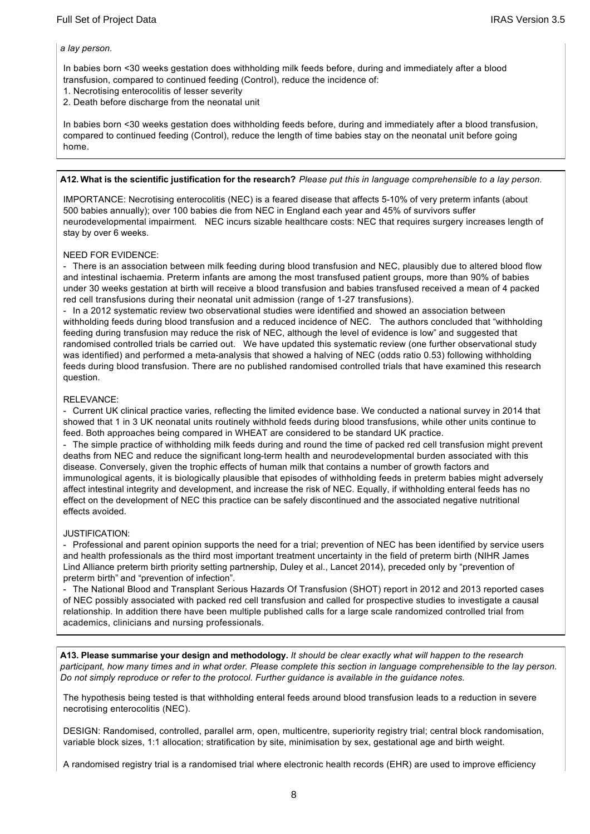#### *a lay person.*

In babies born <30 weeks gestation does withholding milk feeds before, during and immediately after a blood transfusion, compared to continued feeding (Control), reduce the incidence of:

- 1. Necrotising enterocolitis of lesser severity
- 2. Death before discharge from the neonatal unit

In babies born <30 weeks gestation does withholding feeds before, during and immediately after a blood transfusion, compared to continued feeding (Control), reduce the length of time babies stay on the neonatal unit before going home.

#### **A12. What is the scientific justification for the research?** *Please put this in language comprehensible to a lay person.*

IMPORTANCE: Necrotising enterocolitis (NEC) is a feared disease that affects 510% of very preterm infants (about 500 babies annually); over 100 babies die from NEC in England each year and 45% of survivors suffer neurodevelopmental impairment. NEC incurs sizable healthcare costs: NEC that requires surgery increases length of stay by over 6 weeks.

#### NEED FOR EVIDENCE:

 There is an association between milk feeding during blood transfusion and NEC, plausibly due to altered blood flow and intestinal ischaemia. Preterm infants are among the most transfused patient groups, more than 90% of babies under 30 weeks gestation at birth will receive a blood transfusion and babies transfused received a mean of 4 packed red cell transfusions during their neonatal unit admission (range of 1-27 transfusions).

- In a 2012 systematic review two observational studies were identified and showed an association between withholding feeds during blood transfusion and a reduced incidence of NEC. The authors concluded that "withholding feeding during transfusion may reduce the risk of NEC, although the level of evidence is low" and suggested that randomised controlled trials be carried out. We have updated this systematic review (one further observational study was identified) and performed a meta-analysis that showed a halving of NEC (odds ratio 0.53) following withholding feeds during blood transfusion. There are no published randomised controlled trials that have examined this research question.

#### RELEVANCE:

 Current UK clinical practice varies, reflecting the limited evidence base. We conducted a national survey in 2014 that showed that 1 in 3 UK neonatal units routinely withhold feeds during blood transfusions, while other units continue to feed. Both approaches being compared in WHEAT are considered to be standard UK practice.

 The simple practice of withholding milk feeds during and round the time of packed red cell transfusion might prevent deaths from NEC and reduce the significant long-term health and neurodevelopmental burden associated with this disease. Conversely, given the trophic effects of human milk that contains a number of growth factors and immunological agents, it is biologically plausible that episodes of withholding feeds in preterm babies might adversely affect intestinal integrity and development, and increase the risk of NEC. Equally, if withholding enteral feeds has no effect on the development of NEC this practice can be safely discontinued and the associated negative nutritional effects avoided.

#### JUSTIFICATION:

- Professional and parent opinion supports the need for a trial; prevention of NEC has been identified by service users and health professionals as the third most important treatment uncertainty in the field of preterm birth (NIHR James Lind Alliance preterm birth priority setting partnership, Duley et al., Lancet 2014), preceded only by "prevention of preterm birth" and "prevention of infection".

 The National Blood and Transplant Serious Hazards Of Transfusion (SHOT) report in 2012 and 2013 reported cases of NEC possibly associated with packed red cell transfusion and called for prospective studies to investigate a causal relationship. In addition there have been multiple published calls for a large scale randomized controlled trial from academics, clinicians and nursing professionals.

**A13. Please summarise your design and methodology.** *It should be clear exactly what will happen to the research participant, how many times and in what order. Please complete this section in language comprehensible to the lay person. Do not simply reproduce or refer to the protocol. Further guidance is available in the guidance notes.*

The hypothesis being tested is that withholding enteral feeds around blood transfusion leads to a reduction in severe necrotising enterocolitis (NEC).

DESIGN: Randomised, controlled, parallel arm, open, multicentre, superiority registry trial; central block randomisation, variable block sizes, 1:1 allocation; stratification by site, minimisation by sex, gestational age and birth weight.

A randomised registry trial is a randomised trial where electronic health records (EHR) are used to improve efficiency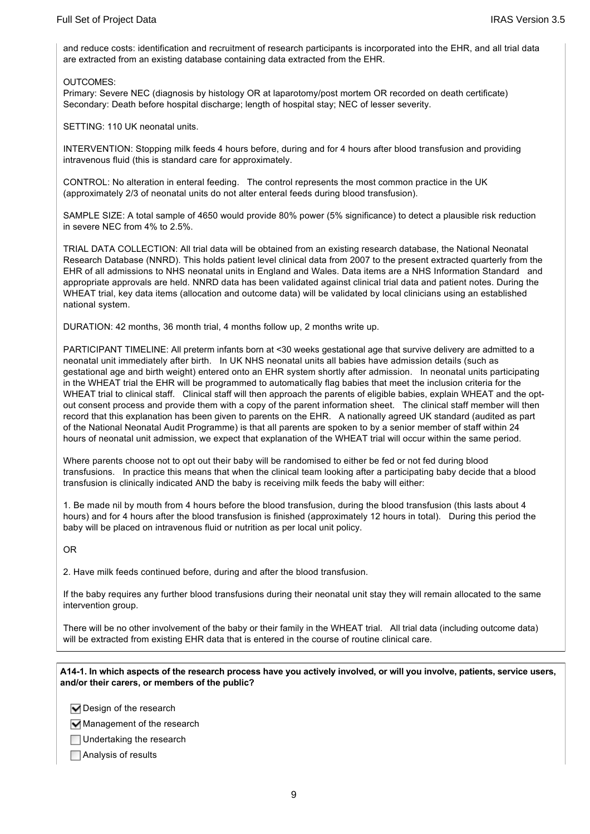and reduce costs: identification and recruitment of research participants is incorporated into the EHR, and all trial data are extracted from an existing database containing data extracted from the EHR.

#### OUTCOMES:

Primary: Severe NEC (diagnosis by histology OR at laparotomy/post mortem OR recorded on death certificate) Secondary: Death before hospital discharge; length of hospital stay; NEC of lesser severity.

SETTING: 110 UK neonatal units.

INTERVENTION: Stopping milk feeds 4 hours before, during and for 4 hours after blood transfusion and providing intravenous fluid (this is standard care for approximately.

CONTROL: No alteration in enteral feeding. The control represents the most common practice in the UK (approximately 2/3 of neonatal units do not alter enteral feeds during blood transfusion).

SAMPLE SIZE: A total sample of 4650 would provide 80% power (5% significance) to detect a plausible risk reduction in severe NEC from 4% to 2.5%.

TRIAL DATA COLLECTION: All trial data will be obtained from an existing research database, the National Neonatal Research Database (NNRD). This holds patient level clinical data from 2007 to the present extracted quarterly from the EHR of all admissions to NHS neonatal units in England and Wales. Data items are a NHS Information Standard and appropriate approvals are held. NNRD data has been validated against clinical trial data and patient notes. During the WHEAT trial, key data items (allocation and outcome data) will be validated by local clinicians using an established national system.

DURATION: 42 months, 36 month trial, 4 months follow up, 2 months write up.

PARTICIPANT TIMELINE: All preterm infants born at <30 weeks gestational age that survive delivery are admitted to a neonatal unit immediately after birth. In UK NHS neonatal units all babies have admission details (such as gestational age and birth weight) entered onto an EHR system shortly after admission. In neonatal units participating in the WHEAT trial the EHR will be programmed to automatically flag babies that meet the inclusion criteria for the WHEAT trial to clinical staff. Clinical staff will then approach the parents of eligible babies, explain WHEAT and the optout consent process and provide them with a copy of the parent information sheet. The clinical staff member will then record that this explanation has been given to parents on the EHR. A nationally agreed UK standard (audited as part of the National Neonatal Audit Programme) is that all parents are spoken to by a senior member of staff within 24 hours of neonatal unit admission, we expect that explanation of the WHEAT trial will occur within the same period.

Where parents choose not to opt out their baby will be randomised to either be fed or not fed during blood transfusions. In practice this means that when the clinical team looking after a participating baby decide that a blood transfusion is clinically indicated AND the baby is receiving milk feeds the baby will either:

1. Be made nil by mouth from 4 hours before the blood transfusion, during the blood transfusion (this lasts about 4 hours) and for 4 hours after the blood transfusion is finished (approximately 12 hours in total). During this period the baby will be placed on intravenous fluid or nutrition as per local unit policy.

OR

2. Have milk feeds continued before, during and after the blood transfusion.

If the baby requires any further blood transfusions during their neonatal unit stay they will remain allocated to the same intervention group.

There will be no other involvement of the baby or their family in the WHEAT trial. All trial data (including outcome data) will be extracted from existing EHR data that is entered in the course of routine clinical care.

**A141. In which aspects of the research process have you actively involved, or will you involve, patients, service users, and/or their carers, or members of the public?**

 $\nabla$  Design of the research

Management of the research

Undertaking the research

Analysis of results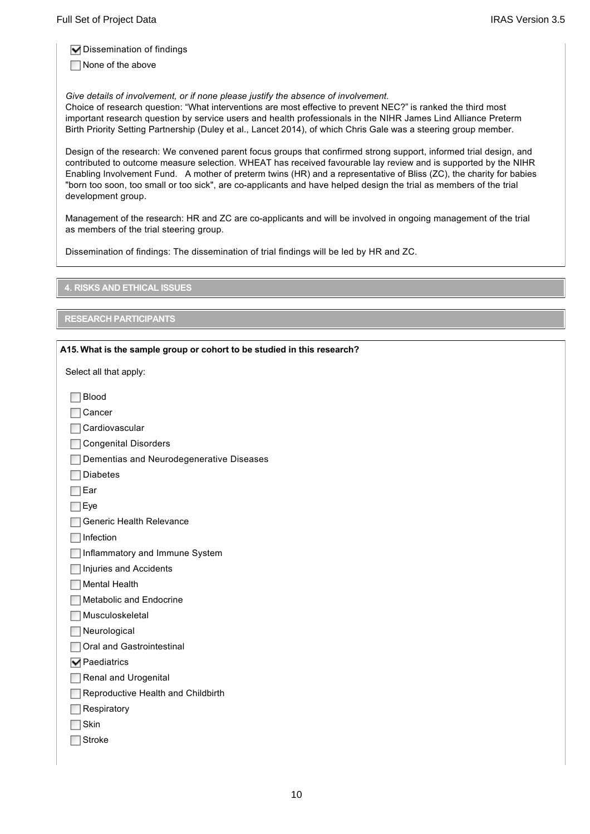$\nabla$  Dissemination of findings

None of the above

*Give details of involvement, or if none please justify the absence of involvement.*

Choice of research question: "What interventions are most effective to prevent NEC?" is ranked the third most important research question by service users and health professionals in the NIHR James Lind Alliance Preterm Birth Priority Setting Partnership (Duley et al., Lancet 2014), of which Chris Gale was a steering group member.

Design of the research: We convened parent focus groups that confirmed strong support, informed trial design, and contributed to outcome measure selection. WHEAT has received favourable lay review and is supported by the NIHR Enabling Involvement Fund. A mother of preterm twins (HR) and a representative of Bliss (ZC), the charity for babies "born too soon, too small or too sick", are co-applicants and have helped design the trial as members of the trial development group.

Management of the research: HR and ZC are co-applicants and will be involved in ongoing management of the trial as members of the trial steering group.

Dissemination of findings: The dissemination of trial findings will be led by HR and ZC.

**4. RISKS AND ETHICAL ISSUES**

### **RESEARCH PARTICIPANTS**

| A15. What is the sample group or cohort to be studied in this research? |
|-------------------------------------------------------------------------|
| Select all that apply:                                                  |
| <b>Blood</b>                                                            |
| Cancer                                                                  |
| Cardiovascular                                                          |
| <b>Congenital Disorders</b>                                             |
| Dementias and Neurodegenerative Diseases                                |
| <b>Diabetes</b>                                                         |
| Ear                                                                     |
| Eye                                                                     |
| Generic Health Relevance                                                |
| Infection                                                               |
| Inflammatory and Immune System                                          |
| <b>Injuries and Accidents</b>                                           |
| <b>Mental Health</b>                                                    |
| Metabolic and Endocrine                                                 |
| Musculoskeletal                                                         |
| Neurological                                                            |
| Oral and Gastrointestinal                                               |
| $\nabla$ Paediatrics                                                    |
| Renal and Urogenital                                                    |
| Reproductive Health and Childbirth                                      |
| Respiratory                                                             |
| Skin                                                                    |
| <b>Stroke</b>                                                           |
|                                                                         |
|                                                                         |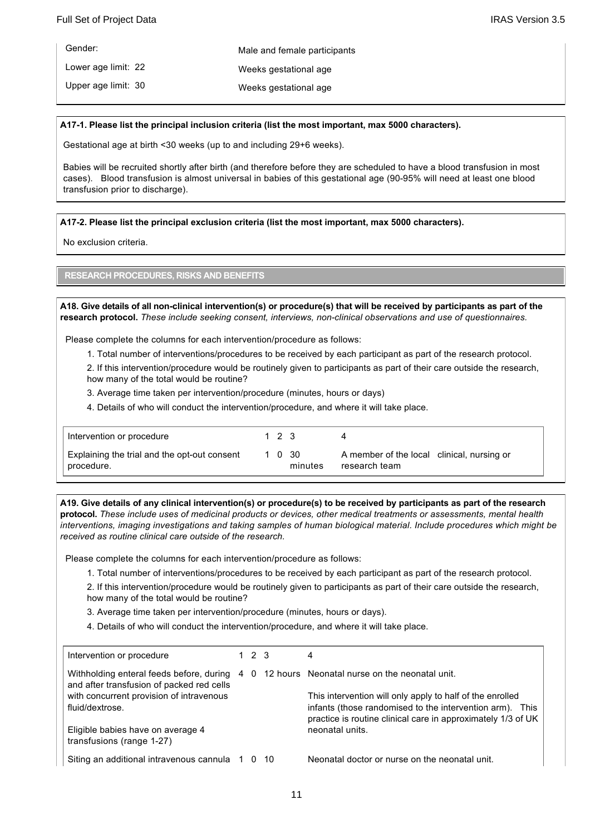| Gender:             | Male and female participants |
|---------------------|------------------------------|
| Lower age limit: 22 | Weeks gestational age        |
| Upper age limit: 30 | Weeks gestational age        |

#### **A171. Please list the principal inclusion criteria (list the most important, max 5000 characters).**

Gestational age at birth <30 weeks (up to and including 29+6 weeks).

Babies will be recruited shortly after birth (and therefore before they are scheduled to have a blood transfusion in most cases). Blood transfusion is almost universal in babies of this gestational age (90-95% will need at least one blood transfusion prior to discharge).

#### **A172. Please list the principal exclusion criteria (list the most important, max 5000 characters).**

No exclusion criteria.

### **RESEARCH PROCEDURES, RISKS AND BENEFITS**

**A18. Give details of all nonclinical intervention(s) or procedure(s) that will be received by participants as part of the research protocol.** *These include seeking consent, interviews, nonclinical observations and use of questionnaires.*

Please complete the columns for each intervention/procedure as follows:

1. Total number of interventions/procedures to be received by each participant as part of the research protocol.

2. If this intervention/procedure would be routinely given to participants as part of their care outside the research, how many of the total would be routine?

3. Average time taken per intervention/procedure (minutes, hours or days)

4. Details of who will conduct the intervention/procedure, and where it will take place.

| Intervention or procedure                                  | 1 2 3 |                   |                                                             |
|------------------------------------------------------------|-------|-------------------|-------------------------------------------------------------|
| Explaining the trial and the opt-out consent<br>procedure. |       | 1 0 30<br>minutes | A member of the local clinical, nursing or<br>research team |

**A19. Give details of any clinical intervention(s) or procedure(s) to be received by participants as part of the research protocol.** *These include uses of medicinal products or devices, other medical treatments or assessments, mental health interventions, imaging investigations and taking samples of human biological material. Include procedures which might be received as routine clinical care outside of the research.*

Please complete the columns for each intervention/procedure as follows:

1. Total number of interventions/procedures to be received by each participant as part of the research protocol.

2. If this intervention/procedure would be routinely given to participants as part of their care outside the research, how many of the total would be routine?

3. Average time taken per intervention/procedure (minutes, hours or days).

4. Details of who will conduct the intervention/procedure, and where it will take place.

| Intervention or procedure                                                             | 1 2 3 |      | 4                                                                                                                                                                                     |
|---------------------------------------------------------------------------------------|-------|------|---------------------------------------------------------------------------------------------------------------------------------------------------------------------------------------|
| Withholding enteral feeds before, during<br>and after transfusion of packed red cells |       |      | 4 0 12 hours Neonatal nurse on the neonatal unit.                                                                                                                                     |
| with concurrent provision of intravenous<br>fluid/dextrose.                           |       |      | This intervention will only apply to half of the enrolled<br>infants (those randomised to the intervention arm). This<br>practice is routine clinical care in approximately 1/3 of UK |
| Eligible babies have on average 4<br>transfusions (range 1-27)                        |       |      | neonatal units.                                                                                                                                                                       |
| Siting an additional intravenous cannula 1                                            | 0     | - 10 | Neonatal doctor or nurse on the neonatal unit.                                                                                                                                        |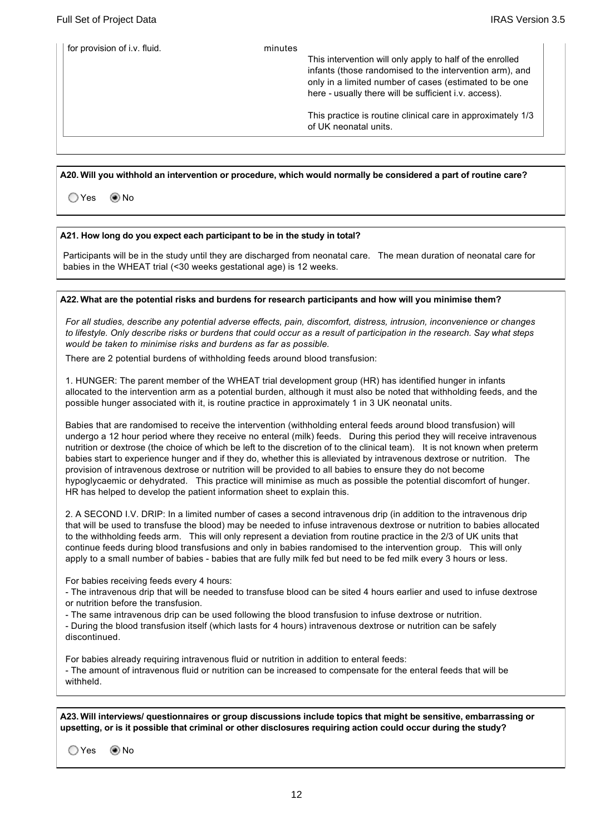| for provision of i.v. fluid. | minutes | This intervention will only apply to half of the enrolled<br>infants (those randomised to the intervention arm), and<br>only in a limited number of cases (estimated to be one<br>here - usually there will be sufficient i.v. access). |
|------------------------------|---------|-----------------------------------------------------------------------------------------------------------------------------------------------------------------------------------------------------------------------------------------|
|                              |         | This practice is routine clinical care in approximately 1/3<br>of UK neonatal units.                                                                                                                                                    |
|                              |         |                                                                                                                                                                                                                                         |

#### **A20. Will you withhold an intervention or procedure, which would normally be considered a part of routine care?**

Yes No

#### **A21. How long do you expect each participant to be in the study in total?**

Participants will be in the study until they are discharged from neonatal care. The mean duration of neonatal care for babies in the WHEAT trial (<30 weeks gestational age) is 12 weeks.

#### **A22. What are the potential risks and burdens for research participants and how will you minimise them?**

*For all studies, describe any potential adverse effects, pain, discomfort, distress, intrusion, inconvenience or changes to lifestyle. Only describe risks or burdens that could occur as a result of participation in the research. Say what steps would be taken to minimise risks and burdens as far as possible.*

There are 2 potential burdens of withholding feeds around blood transfusion:

1. HUNGER: The parent member of the WHEAT trial development group (HR) has identified hunger in infants allocated to the intervention arm as a potential burden, although it must also be noted that withholding feeds, and the possible hunger associated with it, is routine practice in approximately 1 in 3 UK neonatal units.

Babies that are randomised to receive the intervention (withholding enteral feeds around blood transfusion) will undergo a 12 hour period where they receive no enteral (milk) feeds. During this period they will receive intravenous nutrition or dextrose (the choice of which be left to the discretion of to the clinical team). It is not known when preterm babies start to experience hunger and if they do, whether this is alleviated by intravenous dextrose or nutrition. The provision of intravenous dextrose or nutrition will be provided to all babies to ensure they do not become hypoglycaemic or dehydrated. This practice will minimise as much as possible the potential discomfort of hunger. HR has helped to develop the patient information sheet to explain this.

2. A SECOND I.V. DRIP: In a limited number of cases a second intravenous drip (in addition to the intravenous drip that will be used to transfuse the blood) may be needed to infuse intravenous dextrose or nutrition to babies allocated to the withholding feeds arm. This will only represent a deviation from routine practice in the 2/3 of UK units that continue feeds during blood transfusions and only in babies randomised to the intervention group. This will only apply to a small number of babies - babies that are fully milk fed but need to be fed milk every 3 hours or less.

For babies receiving feeds every 4 hours:

 The intravenous drip that will be needed to transfuse blood can be sited 4 hours earlier and used to infuse dextrose or nutrition before the transfusion.

The same intravenous drip can be used following the blood transfusion to infuse dextrose or nutrition.

 During the blood transfusion itself (which lasts for 4 hours) intravenous dextrose or nutrition can be safely discontinued.

For babies already requiring intravenous fluid or nutrition in addition to enteral feeds:

 The amount of intravenous fluid or nutrition can be increased to compensate for the enteral feeds that will be withheld.

**A23. Will interviews/ questionnaires or group discussions include topics that might be sensitive, embarrassing or upsetting, or is it possible that criminal or other disclosures requiring action could occur during the study?**

 $OYes$   $\odot$  No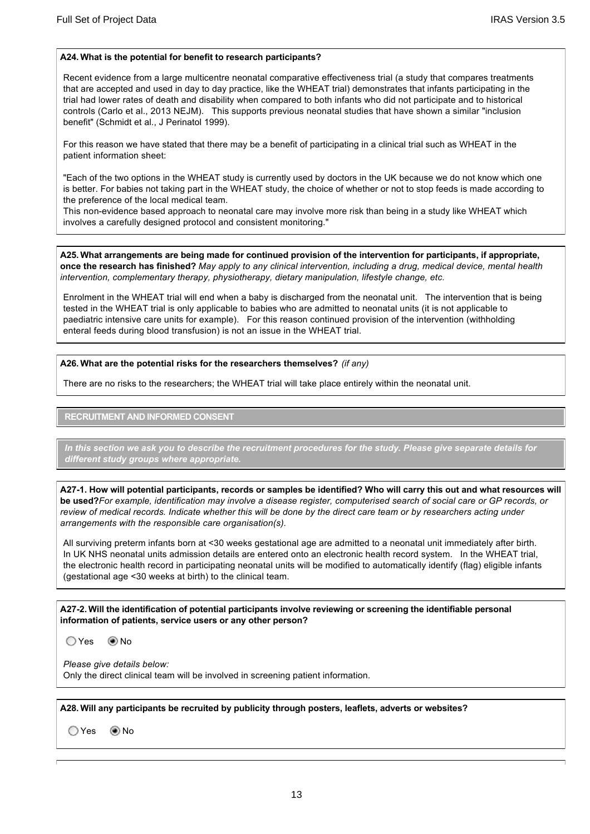#### **A24. What is the potential for benefit to research participants?**

Recent evidence from a large multicentre neonatal comparative effectiveness trial (a study that compares treatments that are accepted and used in day to day practice, like the WHEAT trial) demonstrates that infants participating in the trial had lower rates of death and disability when compared to both infants who did not participate and to historical controls (Carlo et al., 2013 NEJM). This supports previous neonatal studies that have shown a similar "inclusion benefit" (Schmidt et al., J Perinatol 1999).

For this reason we have stated that there may be a benefit of participating in a clinical trial such as WHEAT in the patient information sheet:

"Each of the two options in the WHEAT study is currently used by doctors in the UK because we do not know which one is better. For babies not taking part in the WHEAT study, the choice of whether or not to stop feeds is made according to the preference of the local medical team.

This non-evidence based approach to neonatal care may involve more risk than being in a study like WHEAT which involves a carefully designed protocol and consistent monitoring."

**A25. What arrangements are being made for continued provision of the intervention for participants, if appropriate, once the research has finished?** *May apply to any clinical intervention, including a drug, medical device, mental health intervention, complementary therapy, physiotherapy, dietary manipulation, lifestyle change, etc.*

Enrolment in the WHEAT trial will end when a baby is discharged from the neonatal unit. The intervention that is being tested in the WHEAT trial is only applicable to babies who are admitted to neonatal units (it is not applicable to paediatric intensive care units for example). For this reason continued provision of the intervention (withholding enteral feeds during blood transfusion) is not an issue in the WHEAT trial.

**A26. What are the potential risks for the researchers themselves?** *(if any)*

There are no risks to the researchers; the WHEAT trial will take place entirely within the neonatal unit.

**RECRUITMENT AND INFORMED CONSENT**

*In this section we ask you to describe the recruitment procedures for the study. Please give separate details for different study groups where appropriate.*

**A271. How will potential participants, records or samples be identified? Who will carry this out and what resources will be used?***For example, identification may involve a disease register, computerised search of social care or GP records, or*  review of medical records. Indicate whether this will be done by the direct care team or by researchers acting under *arrangements with the responsible care organisation(s).*

All surviving preterm infants born at <30 weeks gestational age are admitted to a neonatal unit immediately after birth. In UK NHS neonatal units admission details are entered onto an electronic health record system. In the WHEAT trial, the electronic health record in participating neonatal units will be modified to automatically identify (flag) eligible infants (gestational age <30 weeks at birth) to the clinical team.

**A272. Will the identification of potential participants involve reviewing or screening the identifiable personal information of patients, service users or any other person?**

 $OYes$   $O$  No

*Please give details below:* Only the direct clinical team will be involved in screening patient information.

**A28. Will any participants be recruited by publicity through posters, leaflets, adverts or websites?**

 $OYes$   $\odot$  No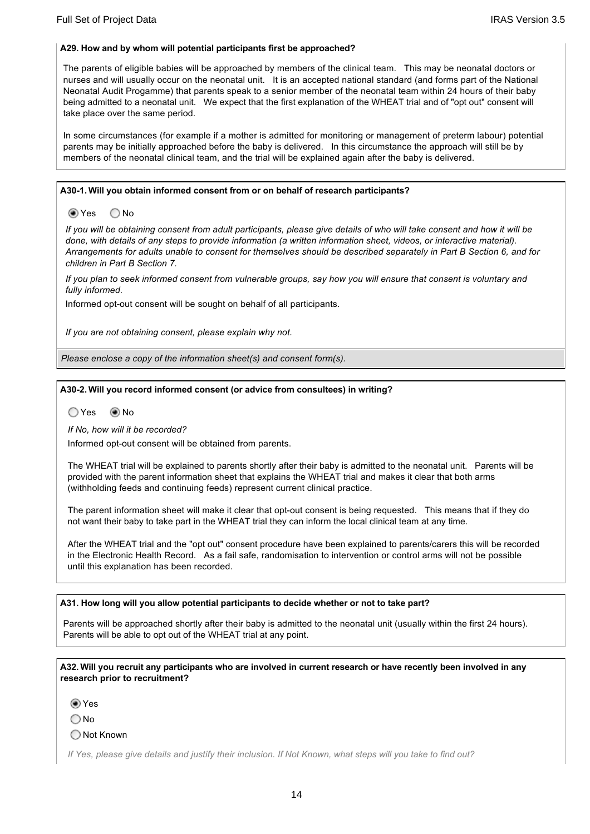#### **A29. How and by whom will potential participants first be approached?**

The parents of eligible babies will be approached by members of the clinical team. This may be neonatal doctors or nurses and will usually occur on the neonatal unit. It is an accepted national standard (and forms part of the National Neonatal Audit Progamme) that parents speak to a senior member of the neonatal team within 24 hours of their baby being admitted to a neonatal unit. We expect that the first explanation of the WHEAT trial and of "opt out" consent will take place over the same period.

In some circumstances (for example if a mother is admitted for monitoring or management of preterm labour) potential parents may be initially approached before the baby is delivered. In this circumstance the approach will still be by members of the neonatal clinical team, and the trial will be explained again after the baby is delivered.

#### **A301. Will you obtain informed consent from or on behalf of research participants?**

● Yes ○ No

*If you will be obtaining consent from adult participants, please give details of who will take consent and how it will be done, with details of any steps to provide information (a written information sheet, videos, or interactive material). Arrangements for adults unable to consent for themselves should be described separately in Part B Section 6, and for children in Part B Section 7.*

*If you plan to seek informed consent from vulnerable groups, say how you will ensure that consent is voluntary and fully informed.*

Informed opt-out consent will be sought on behalf of all participants.

*If you are not obtaining consent, please explain why not.*

*Please enclose a copy of the information sheet(s) and consent form(s).*

#### **A302. Will you record informed consent (or advice from consultees) in writing?**

OYes  No

*If No, how will it be recorded?*

Informed opt-out consent will be obtained from parents.

The WHEAT trial will be explained to parents shortly after their baby is admitted to the neonatal unit. Parents will be provided with the parent information sheet that explains the WHEAT trial and makes it clear that both arms (withholding feeds and continuing feeds) represent current clinical practice.

The parent information sheet will make it clear that opt-out consent is being requested. This means that if they do not want their baby to take part in the WHEAT trial they can inform the local clinical team at any time.

After the WHEAT trial and the "opt out" consent procedure have been explained to parents/carers this will be recorded in the Electronic Health Record. As a fail safe, randomisation to intervention or control arms will not be possible until this explanation has been recorded.

#### **A31. How long will you allow potential participants to decide whether or not to take part?**

Parents will be approached shortly after their baby is admitted to the neonatal unit (usually within the first 24 hours). Parents will be able to opt out of the WHEAT trial at any point.

**A32. Will you recruit any participants who are involved in current research or have recently been involved in any research prior to recruitment?**

Yes

O No

◯ Not Known

*If Yes, please give details and justify their inclusion. If Not Known, what steps will you take to find out?*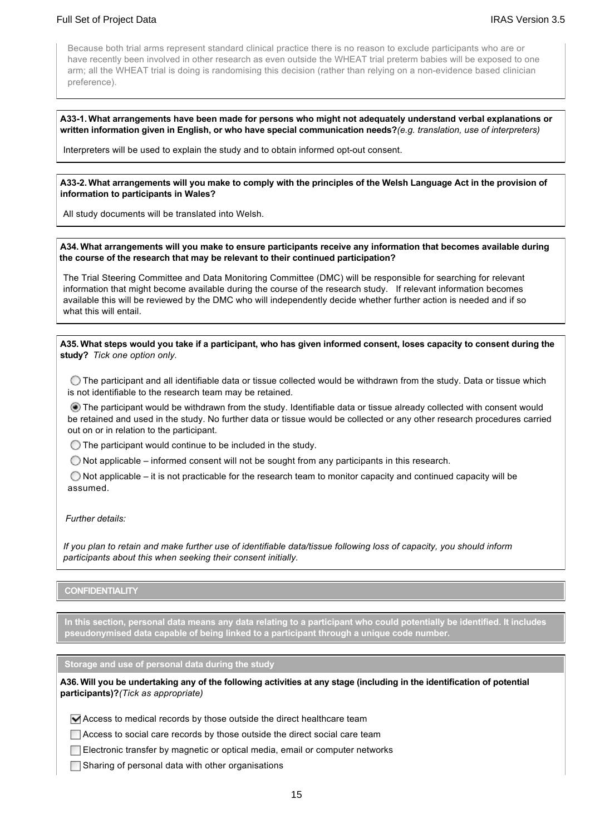# Full Set of Project Data Internal and the Unit of Project Data IRAS Version 3.5

Because both trial arms represent standard clinical practice there is no reason to exclude participants who are or have recently been involved in other research as even outside the WHEAT trial preterm babies will be exposed to one arm; all the WHEAT trial is doing is randomising this decision (rather than relying on a nonevidence based clinician preference).

#### **A331. What arrangements have been made for persons who might not adequately understand verbal explanations or written information given in English, or who have special communication needs?***(e.g. translation, use of interpreters)*

Interpreters will be used to explain the study and to obtain informed opt-out consent.

#### **A332. What arrangements will you make to comply with the principles of the Welsh Language Act in the provision of information to participants in Wales?**

All study documents will be translated into Welsh.

#### **A34. What arrangements will you make to ensure participants receive any information that becomes available during the course of the research that may be relevant to their continued participation?**

The Trial Steering Committee and Data Monitoring Committee (DMC) will be responsible for searching for relevant information that might become available during the course of the research study. If relevant information becomes available this will be reviewed by the DMC who will independently decide whether further action is needed and if so what this will entail.

**A35. What steps would you take if a participant, who has given informed consent, loses capacity to consent during the study?** *Tick one option only.*

 $\bigcirc$  The participant and all identifiable data or tissue collected would be withdrawn from the study. Data or tissue which is not identifiable to the research team may be retained.

 The participant would be withdrawn from the study. Identifiable data or tissue already collected with consent would be retained and used in the study. No further data or tissue would be collected or any other research procedures carried out on or in relation to the participant.

 $\bigcirc$  The participant would continue to be included in the study.

 $\bigcirc$  Not applicable – informed consent will not be sought from any participants in this research.

 $\bigcirc$  Not applicable – it is not practicable for the research team to monitor capacity and continued capacity will be assumed.

#### *Further details:*

*If you plan to retain and make further use of identifiable data/tissue following loss of capacity, you should inform participants about this when seeking their consent initially.*

### **CONFIDENTIALITY**

**In this section, personal data means any data relating to a participant who could potentially be identified. It includes pseudonymised data capable of being linked to a participant through a unique code number.**

**Storage and use of personal data during the study**

**A36. Will you be undertaking any of the following activities at any stage (including in the identification of potential participants)?***(Tick as appropriate)*

 $\blacktriangleright$  Access to medical records by those outside the direct healthcare team

Access to social care records by those outside the direct social care team

Electronic transfer by magnetic or optical media, email or computer networks

 $\Box$  Sharing of personal data with other organisations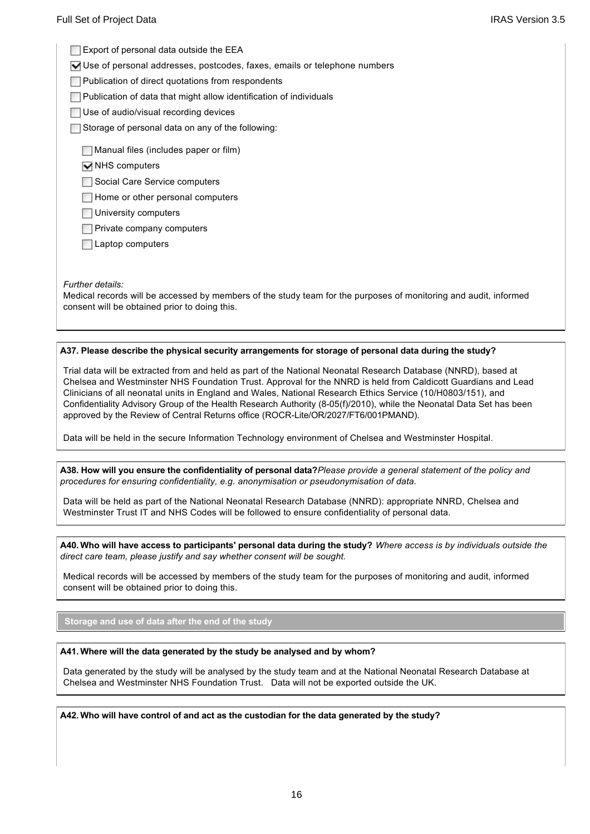$\Box$  Export of personal data outside the EEA

Use of personal addresses, postcodes, faxes, emails or telephone numbers

**Publication of direct quotations from respondents** 

 $\Box$  Publication of data that might allow identification of individuals

Use of audio/visual recording devices

 $\Box$  Storage of personal data on any of the following:

 $\Box$  Manual files (includes paper or film)

 $\overline{\blacktriangledown}$  NHS computers

Social Care Service computers

 $\Box$  Home or other personal computers

University computers

**Private company computers** 

**□Laptop computers** 

*Further details:*

Medical records will be accessed by members of the study team for the purposes of monitoring and audit, informed consent will be obtained prior to doing this.

### **A37. Please describe the physical security arrangements for storage of personal data during the study?**

Trial data will be extracted from and held as part of the National Neonatal Research Database (NNRD), based at Chelsea and Westminster NHS Foundation Trust. Approval for the NNRD is held from Caldicott Guardians and Lead Clinicians of all neonatal units in England and Wales, National Research Ethics Service (10/H0803/151), and Confidentiality Advisory Group of the Health Research Authority (8-05(f)/2010), while the Neonatal Data Set has been approved by the Review of Central Returns office (ROCRLite/OR/2027/FT6/001PMAND).

Data will be held in the secure Information Technology environment of Chelsea and Westminster Hospital.

**A38. How will you ensure the confidentiality of personal data?***Please provide a general statement of the policy and procedures for ensuring confidentiality, e.g. anonymisation or pseudonymisation of data.*

Data will be held as part of the National Neonatal Research Database (NNRD): appropriate NNRD, Chelsea and Westminster Trust IT and NHS Codes will be followed to ensure confidentiality of personal data.

**A40. Who will have access to participants' personal data during the study?** *Where access is by individuals outside the direct care team, please justify and say whether consent will be sought.*

Medical records will be accessed by members of the study team for the purposes of monitoring and audit, informed consent will be obtained prior to doing this.

**Storage and use of data after the end of the study**

#### **A41. Where will the data generated by the study be analysed and by whom?**

Data generated by the study will be analysed by the study team and at the National Neonatal Research Database at Chelsea and Westminster NHS Foundation Trust. Data will not be exported outside the UK.

**A42. Who will have control of and act as the custodian for the data generated by the study?**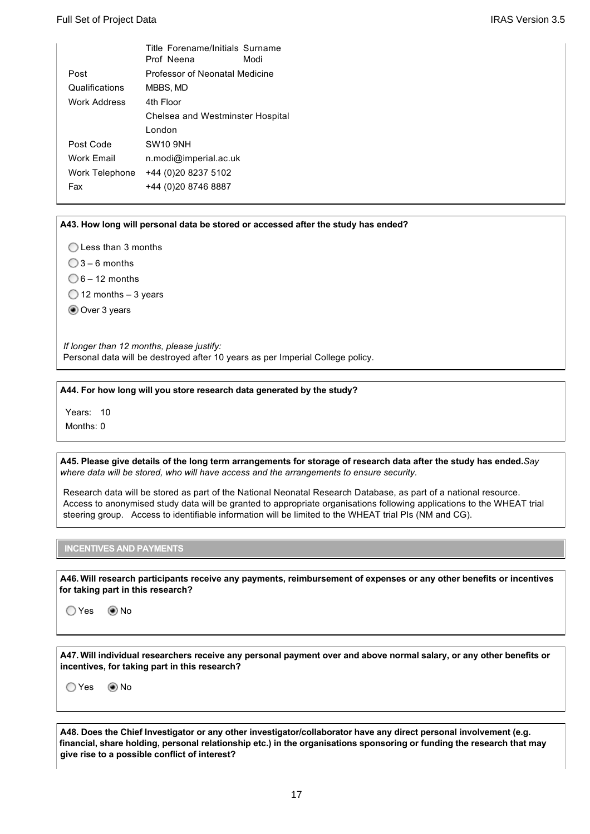|                | Title Forename/Initials Surname<br>Prof Neena | Modi |  |  |
|----------------|-----------------------------------------------|------|--|--|
| Post           | Professor of Neonatal Medicine                |      |  |  |
| Qualifications | MBBS, MD                                      |      |  |  |
| Work Address   | 4th Floor<br>Chelsea and Westminster Hospital |      |  |  |
|                |                                               |      |  |  |
|                | London                                        |      |  |  |
| Post Code      | <b>SW10 9NH</b>                               |      |  |  |
| Work Email     | n.modi@imperial.ac.uk                         |      |  |  |
| Work Telephone | +44 (0)20 8237 5102                           |      |  |  |
| Fax            | +44 (0)20 8746 8887                           |      |  |  |
|                |                                               |      |  |  |

**A43. How long will personal data be stored or accessed after the study has ended?**

◯ Less than 3 months

 $\bigcirc$  3 – 6 months

 $\bigcirc$  6 – 12 months

 $\bigcirc$  12 months – 3 years

Over 3 years

*If longer than 12 months, please justify:*  Personal data will be destroyed after 10 years as per Imperial College policy.

**A44. For how long will you store research data generated by the study?**

Years: 10

Months: 0

**A45. Please give details of the long term arrangements for storage of research data after the study has ended.***Say where data will be stored, who will have access and the arrangements to ensure security.*

Research data will be stored as part of the National Neonatal Research Database, as part of a national resource. Access to anonymised study data will be granted to appropriate organisations following applications to the WHEAT trial steering group. Access to identifiable information will be limited to the WHEAT trial PIs (NM and CG).

**INCENTIVES AND PAYMENTS**

**A46. Will research participants receive any payments, reimbursement of expenses or any other benefits or incentives for taking part in this research?**

○Yes ◉No

**A47. Will individual researchers receive any personal payment over and above normal salary, or any other benefits or incentives, for taking part in this research?**

O Yes <br>
© No

**A48. Does the Chief Investigator or any other investigator/collaborator have any direct personal involvement (e.g. financial, share holding, personal relationship etc.) in the organisations sponsoring or funding the research that may give rise to a possible conflict of interest?**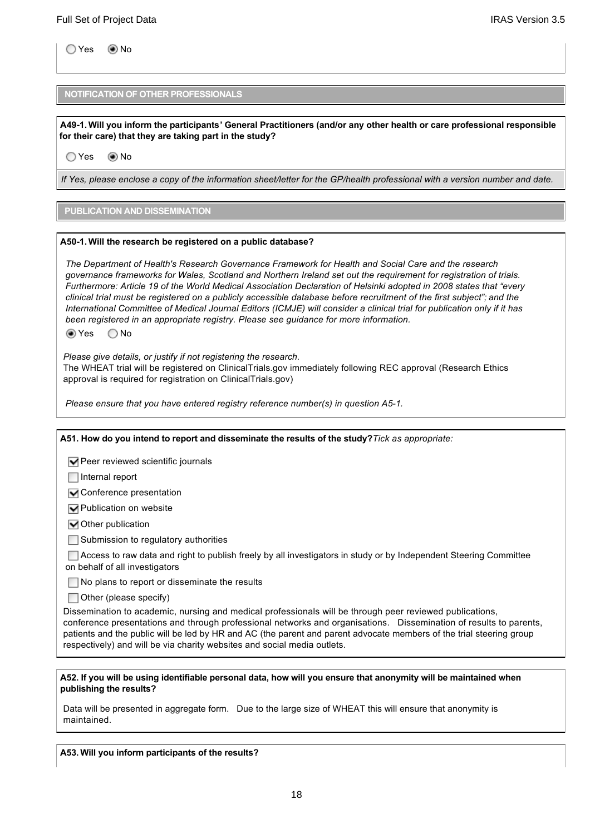Yes No

### **NOTIFICATION OF OTHER PROFESSIONALS**

**give rise to a possible conflict of interest?**

**A491. Will you inform the participants' General Practitioners (and/or any other health or care professional responsible for their care) that they are taking part in the study?**

○Yes ◉No

*If Yes, please enclose a copy of the information sheet/letter for the GP/health professional with a version number and date.*

### **PUBLICATION AND DISSEMINATION**

#### **A501. Will the research be registered on a public database?**

*The Department of Health's Research Governance Framework for Health and Social Care and the research governance frameworks for Wales, Scotland and Northern Ireland set out the requirement for registration of trials. Furthermore: Article 19 of the World Medical Association Declaration of Helsinki adopted in 2008 states that "every clinical trial must be registered on a publicly accessible database before recruitment of the first subject"; and the International Committee of Medical Journal Editors (ICMJE) will consider a clinical trial for publication only if it has been registered in an appropriate registry. Please see guidance for more information.*

Yes No

*Please give details, or justify if not registering the research.*

The WHEAT trial will be registered on ClinicalTrials.gov immediately following REC approval (Research Ethics approval is required for registration on ClinicalTrials.gov)

*Please ensure that you have entered registry reference number(s) in question A51.*

| A51. How do you intend to report and disseminate the results of the study? Tick as appropriate:                                                                                                                                                                                                                                                                                                                                    |
|------------------------------------------------------------------------------------------------------------------------------------------------------------------------------------------------------------------------------------------------------------------------------------------------------------------------------------------------------------------------------------------------------------------------------------|
| Peer reviewed scientific journals                                                                                                                                                                                                                                                                                                                                                                                                  |
| Internal report                                                                                                                                                                                                                                                                                                                                                                                                                    |
| ◯ Conference presentation                                                                                                                                                                                                                                                                                                                                                                                                          |
| ◘ Publication on website                                                                                                                                                                                                                                                                                                                                                                                                           |
| Other publication                                                                                                                                                                                                                                                                                                                                                                                                                  |
| Submission to regulatory authorities                                                                                                                                                                                                                                                                                                                                                                                               |
| Access to raw data and right to publish freely by all investigators in study or by Independent Steering Committee<br>on behalf of all investigators                                                                                                                                                                                                                                                                                |
| No plans to report or disseminate the results                                                                                                                                                                                                                                                                                                                                                                                      |
| Other (please specify)                                                                                                                                                                                                                                                                                                                                                                                                             |
| Dissemination to academic, nursing and medical professionals will be through peer reviewed publications,<br>conference presentations and through professional networks and organisations. Dissemination of results to parents,<br>patients and the public will be led by HR and AC (the parent and parent advocate members of the trial steering group<br>respectively) and will be via charity websites and social media outlets. |
|                                                                                                                                                                                                                                                                                                                                                                                                                                    |
| A52. If you will be using identifiable personal data, how will you ensure that anonymity will be maintained when<br>publishing the results?                                                                                                                                                                                                                                                                                        |
| Data will be presented in aggregate form. Due to the large size of WHEAT this will ensure that anonymity is<br>maintained.                                                                                                                                                                                                                                                                                                         |

**A53. Will you inform participants of the results?**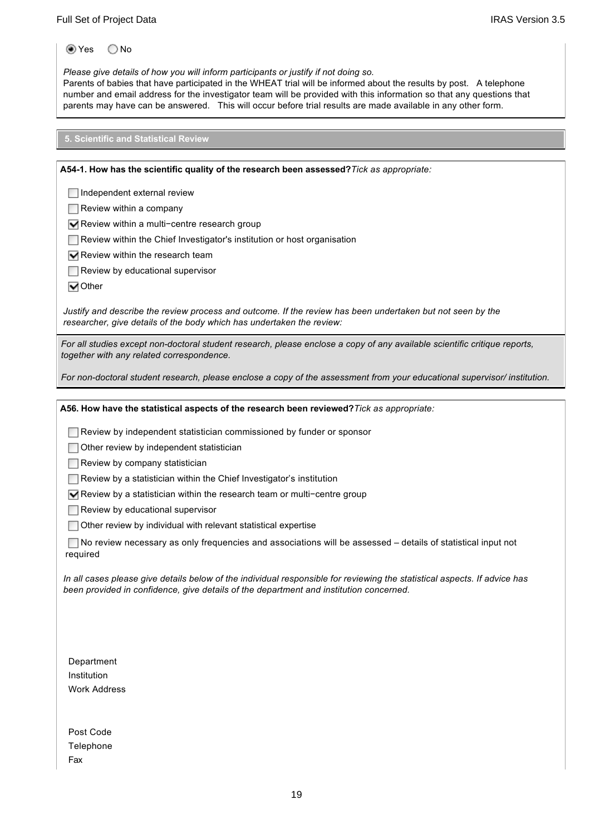Yes No

*Please give details of how you will inform participants or justify if not doing so.*

Parents of babies that have participated in the WHEAT trial will be informed about the results by post. A telephone number and email address for the investigator team will be provided with this information so that any questions that parents may have can be answered. This will occur before trial results are made available in any other form.

**5. Scientific and Statistical Review**

**A541. How has the scientific quality of the research been assessed?***Tick as appropriate:*

**□Independent external review** 

 $\Box$  Review within a company

Review within a multi−centre research group

**A53. Will you inform participants of the results?**

Review within the Chief Investigator's institution or host organisation

 $\nabla$  Review within the research team

Review by educational supervisor

**√**Other

*Justify and describe the review process and outcome. If the review has been undertaken but not seen by the researcher, give details of the body which has undertaken the review:*

*For all studies except nondoctoral student research, please enclose a copy of any available scientific critique reports, together with any related correspondence.*

*For nondoctoral student research, please enclose a copy of the assessment from your educational supervisor/ institution.*

**A56. How have the statistical aspects of the research been reviewed?***Tick as appropriate:*

Review by independent statistician commissioned by funder or sponsor

 $\Box$  Other review by independent statistician

 $\Box$  Review by company statistician

Review by a statistician within the Chief Investigator's institution

Review by a statistician within the research team or multi−centre group

 $\Box$  Review by educational supervisor

Other review by individual with relevant statistical expertise

 No review necessary as only frequencies and associations will be assessed – details of statistical input not required

*In all cases please give details below of the individual responsible for reviewing the statistical aspects. If advice has been provided in confidence, give details of the department and institution concerned.*

Department Institution Work Address

Post Code **Telephone** Fax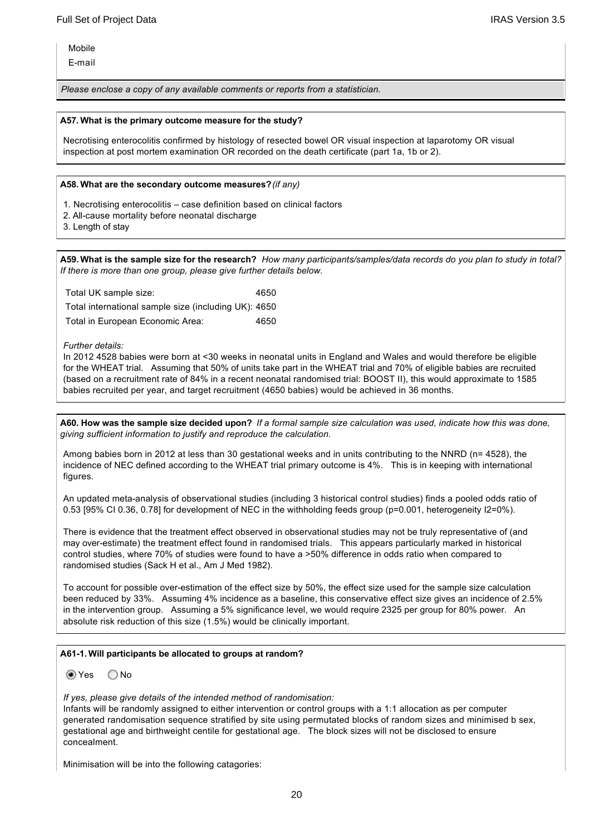Mobile

Email

*Please enclose a copy of any available comments or reports from a statistician.*

#### **A57. What is the primary outcome measure for the study?**

Necrotising enterocolitis confirmed by histology of resected bowel OR visual inspection at laparotomy OR visual inspection at post mortem examination OR recorded on the death certificate (part 1a, 1b or 2).

#### **A58. What are the secondary outcome measures?***(if any)*

- 1. Necrotising enterocolitis case definition based on clinical factors
- 2. All-cause mortality before neonatal discharge
- 3. Length of stay

**A59. What is the sample size for the research?** *How many participants/samples/data records do you plan to study in total? If there is more than one group, please give further details below.*

| Total UK sample size:                                | 4650 |
|------------------------------------------------------|------|
| Total international sample size (including UK): 4650 |      |
| Total in European Economic Area:                     | 4650 |

#### *Further details:*

In 2012 4528 babies were born at <30 weeks in neonatal units in England and Wales and would therefore be eligible for the WHEAT trial. Assuming that 50% of units take part in the WHEAT trial and 70% of eligible babies are recruited (based on a recruitment rate of 84% in a recent neonatal randomised trial: BOOST II), this would approximate to 1585 babies recruited per year, and target recruitment (4650 babies) would be achieved in 36 months.

**A60. How was the sample size decided upon?** *If a formal sample size calculation was used, indicate how this was done, giving sufficient information to justify and reproduce the calculation.*

Among babies born in 2012 at less than 30 gestational weeks and in units contributing to the NNRD (n= 4528), the incidence of NEC defined according to the WHEAT trial primary outcome is 4%. This is in keeping with international figures.

An updated meta-analysis of observational studies (including 3 historical control studies) finds a pooled odds ratio of 0.53 [95% CI 0.36, 0.78] for development of NEC in the withholding feeds group (p=0.001, heterogeneity I2=0%).

There is evidence that the treatment effect observed in observational studies may not be truly representative of (and may overestimate) the treatment effect found in randomised trials. This appears particularly marked in historical control studies, where 70% of studies were found to have a >50% difference in odds ratio when compared to randomised studies (Sack H et al., Am J Med 1982).

To account for possible over-estimation of the effect size by 50%, the effect size used for the sample size calculation been reduced by 33%. Assuming 4% incidence as a baseline, this conservative effect size gives an incidence of 2.5% in the intervention group. Assuming a 5% significance level, we would require 2325 per group for 80% power. An absolute risk reduction of this size (1.5%) would be clinically important.

#### **A611. Will participants be allocated to groups at random?**

 $\odot$  Yes  $\odot$  No

*If yes, please give details of the intended method of randomisation:*

Infants will be randomly assigned to either intervention or control groups with a 1:1 allocation as per computer generated randomisation sequence stratified by site using permutated blocks of random sizes and minimised b sex, gestational age and birthweight centile for gestational age. The block sizes will not be disclosed to ensure concealment.

Minimisation will be into the following catagories: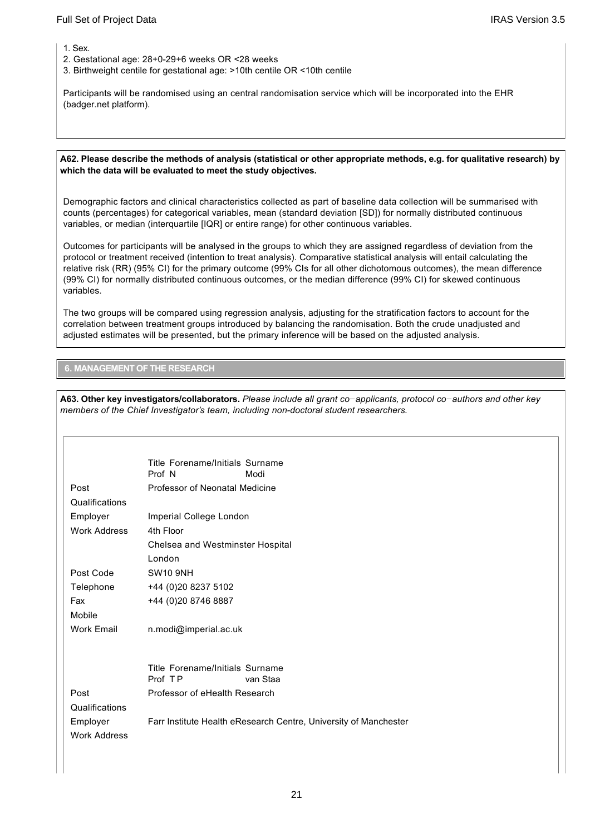1. Sex.

- 2. Gestational age: 28+0-29+6 weeks OR <28 weeks
- 3. Birthweight centile for gestational age: >10th centile OR <10th centile

Participants will be randomised using an central randomisation service which will be incorporated into the EHR (badger.net platform).

#### **A62. Please describe the methods of analysis (statistical or other appropriate methods, e.g. for qualitative research) by which the data will be evaluated to meet the study objectives.**

Demographic factors and clinical characteristics collected as part of baseline data collection will be summarised with counts (percentages) for categorical variables, mean (standard deviation [SD]) for normally distributed continuous variables, or median (interquartile [IQR] or entire range) for other continuous variables.

Outcomes for participants will be analysed in the groups to which they are assigned regardless of deviation from the protocol or treatment received (intention to treat analysis). Comparative statistical analysis will entail calculating the relative risk (RR) (95% CI) for the primary outcome (99% CIs for all other dichotomous outcomes), the mean difference (99% CI) for normally distributed continuous outcomes, or the median difference (99% CI) for skewed continuous variables.

The two groups will be compared using regression analysis, adjusting for the stratification factors to account for the correlation between treatment groups introduced by balancing the randomisation. Both the crude unadjusted and adjusted estimates will be presented, but the primary inference will be based on the adjusted analysis.

#### **6. MANAGEMENT OF THE RESEARCH**

**A63. Other key investigators/collaborators.** *Please include all grant co−applicants, protocol co−authors and other key members of the Chief Investigator's team, including non-doctoral student researchers.* 

|                     | Title Forename/Initials Surname                                  |
|---------------------|------------------------------------------------------------------|
|                     | Prof N<br>Modi                                                   |
| Post                | Professor of Neonatal Medicine                                   |
| Qualifications      |                                                                  |
| Employer            | Imperial College London                                          |
| <b>Work Address</b> | 4th Floor                                                        |
|                     | Chelsea and Westminster Hospital                                 |
|                     | London                                                           |
| Post Code           | <b>SW10 9NH</b>                                                  |
| Telephone           | +44 (0)20 8237 5102                                              |
| Fax                 | +44 (0)20 8746 8887                                              |
| Mobile              |                                                                  |
| <b>Work Email</b>   | n.modi@imperial.ac.uk                                            |
|                     |                                                                  |
|                     |                                                                  |
|                     | Title Forename/Initials Surname<br>Prof TP<br>van Staa           |
|                     |                                                                  |
| Post                | Professor of eHealth Research                                    |
| Qualifications      |                                                                  |
| Employer            | Farr Institute Health eResearch Centre, University of Manchester |
| <b>Work Address</b> |                                                                  |
|                     |                                                                  |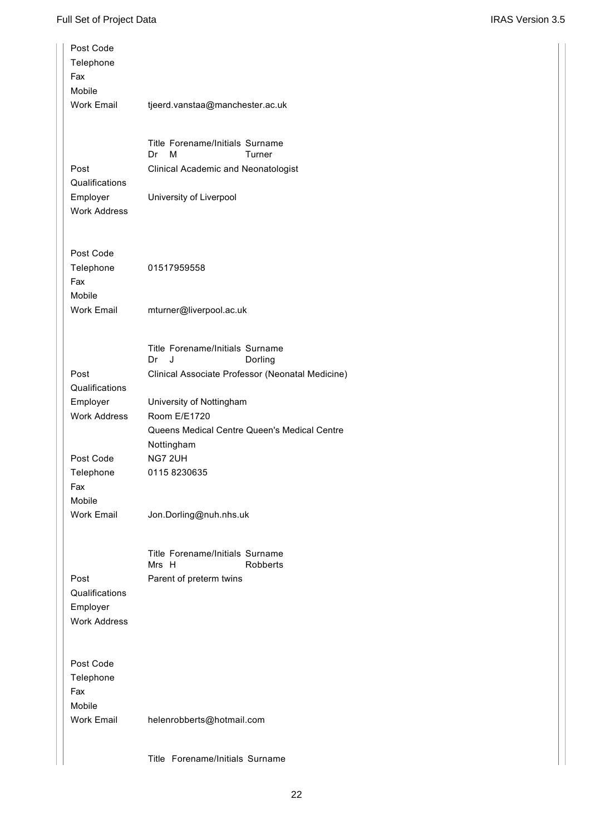| Post Code<br>Telephone<br>Fax<br>Mobile                   |                                                                                                        |
|-----------------------------------------------------------|--------------------------------------------------------------------------------------------------------|
| <b>Work Email</b>                                         | tjeerd.vanstaa@manchester.ac.uk                                                                        |
|                                                           | Title Forename/Initials Surname<br>Dr<br>м<br>Turner                                                   |
| Post<br>Qualifications                                    | Clinical Academic and Neonatologist                                                                    |
| Employer<br><b>Work Address</b>                           | University of Liverpool                                                                                |
| Post Code<br>Telephone<br>Fax                             | 01517959558                                                                                            |
| Mobile<br><b>Work Email</b>                               | mturner@liverpool.ac.uk                                                                                |
|                                                           | Title Forename/Initials Surname<br>Dr<br>J<br>Dorling                                                  |
| Post<br>Qualifications                                    | Clinical Associate Professor (Neonatal Medicine)                                                       |
| Employer<br><b>Work Address</b>                           | University of Nottingham<br>Room E/E1720<br>Queens Medical Centre Queen's Medical Centre<br>Nottingham |
| Post Code                                                 | NG7 2UH                                                                                                |
| Telephone<br>Fax<br>Mobile                                | 01158230635                                                                                            |
| <b>Work Email</b>                                         | Jon.Dorling@nuh.nhs.uk                                                                                 |
|                                                           | Title Forename/Initials Surname<br>Mrs H<br>Robberts                                                   |
| Post<br>Qualifications<br>Employer<br><b>Work Address</b> | Parent of preterm twins                                                                                |
| Post Code<br>Telephone<br>Fax<br>Mobile                   |                                                                                                        |
| <b>Work Email</b>                                         | helenrobberts@hotmail.com                                                                              |

Title Forename/Initials Surname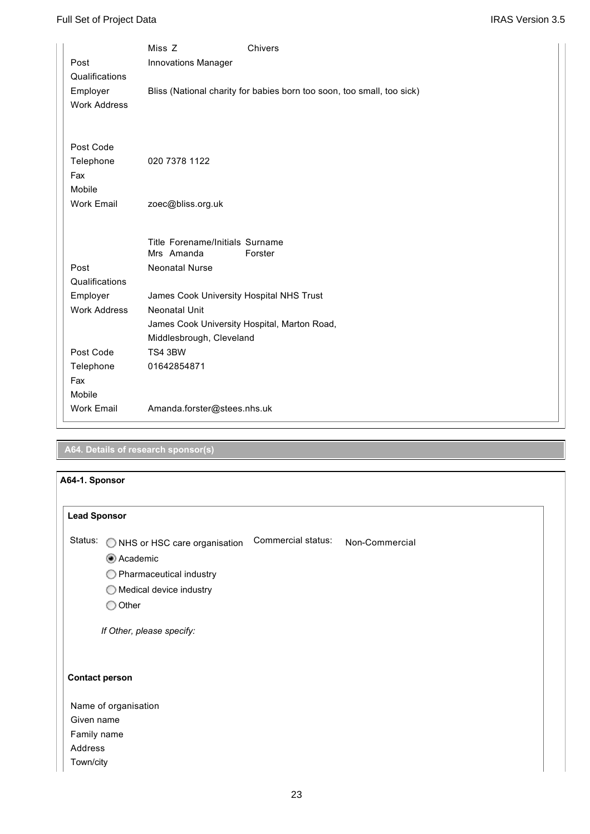|                     | Miss Z                                       | Chivers                                                                |
|---------------------|----------------------------------------------|------------------------------------------------------------------------|
| Post                | Innovations Manager                          |                                                                        |
| Qualifications      |                                              |                                                                        |
| Employer            |                                              | Bliss (National charity for babies born too soon, too small, too sick) |
| <b>Work Address</b> |                                              |                                                                        |
|                     |                                              |                                                                        |
|                     |                                              |                                                                        |
| Post Code           |                                              |                                                                        |
| Telephone           | 020 7378 1122                                |                                                                        |
| Fax                 |                                              |                                                                        |
| Mobile              |                                              |                                                                        |
| <b>Work Email</b>   | zoec@bliss.org.uk                            |                                                                        |
|                     |                                              |                                                                        |
|                     | Title Forename/Initials Surname              |                                                                        |
|                     | Mrs Amanda                                   | Forster                                                                |
| Post                | <b>Neonatal Nurse</b>                        |                                                                        |
| Qualifications      |                                              |                                                                        |
| Employer            | James Cook University Hospital NHS Trust     |                                                                        |
| <b>Work Address</b> | <b>Neonatal Unit</b>                         |                                                                        |
|                     | James Cook University Hospital, Marton Road, |                                                                        |
|                     | Middlesbrough, Cleveland                     |                                                                        |
| Post Code           | TS4 3BW                                      |                                                                        |
| Telephone           | 01642854871                                  |                                                                        |
| Fax                 |                                              |                                                                        |
| Mobile              |                                              |                                                                        |
| <b>Work Email</b>   | Amanda.forster@stees.nhs.uk                  |                                                                        |
|                     |                                              |                                                                        |

# **A64. Details of research sponsor(s)**

| A64-1. Sponsor        |                                    |                    |                |  |
|-----------------------|------------------------------------|--------------------|----------------|--|
| <b>Lead Sponsor</b>   |                                    |                    |                |  |
| Status:               | O NHS or HSC care organisation     | Commercial status: | Non-Commercial |  |
|                       | Academic                           |                    |                |  |
|                       | $\bigcirc$ Pharmaceutical industry |                    |                |  |
|                       | $\bigcirc$ Medical device industry |                    |                |  |
|                       | $\bigcirc$ Other                   |                    |                |  |
|                       | If Other, please specify:          |                    |                |  |
| <b>Contact person</b> |                                    |                    |                |  |
|                       | Name of organisation               |                    |                |  |
| Given name            |                                    |                    |                |  |
| Family name           |                                    |                    |                |  |
| Address               |                                    |                    |                |  |
| Town/city             |                                    |                    |                |  |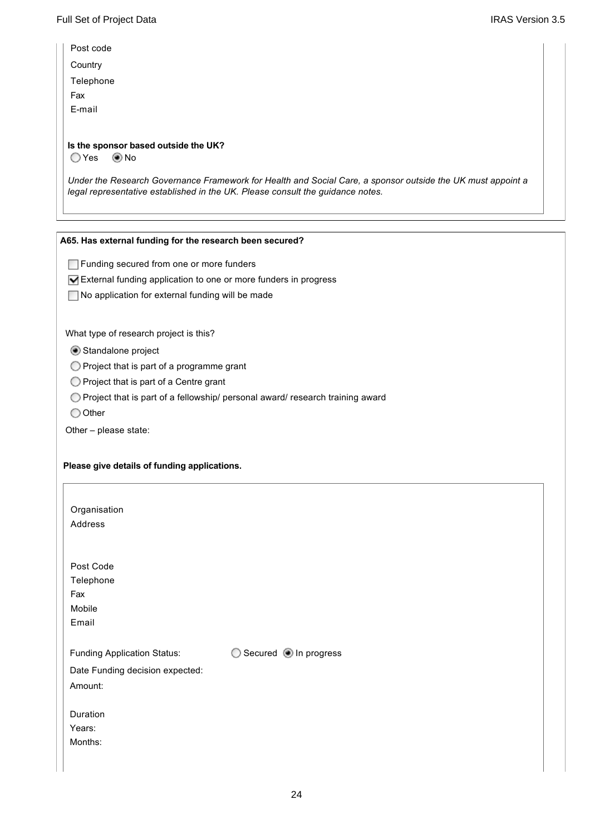| <b>IRAS Version 3.5</b> |  |
|-------------------------|--|
|                         |  |

| Post code                                                                                                                                                                                     |
|-----------------------------------------------------------------------------------------------------------------------------------------------------------------------------------------------|
| Country                                                                                                                                                                                       |
| Telephone                                                                                                                                                                                     |
| Fax                                                                                                                                                                                           |
| E-mail                                                                                                                                                                                        |
|                                                                                                                                                                                               |
| Is the sponsor based outside the UK?                                                                                                                                                          |
| ◯ Yes<br>() No                                                                                                                                                                                |
| Under the Research Governance Framework for Health and Social Care, a sponsor outside the UK must appoint a<br>legal representative established in the UK. Please consult the guidance notes. |
|                                                                                                                                                                                               |

### **A65. Has external funding for the research been secured?**

Funding secured from one or more funders

External funding application to one or more funders in progress

No application for external funding will be made

What type of research project is this?

Standalone project

Project that is part of a programme grant

O Project that is part of a Centre grant

Project that is part of a fellowship/ personal award/ research training award

O Other

Other – please state:

### **Please give details of funding applications.**

| Organisation<br>Address                                                          |                         |
|----------------------------------------------------------------------------------|-------------------------|
| Post Code<br>Telephone<br>Fax<br>Mobile<br>Email                                 |                         |
| <b>Funding Application Status:</b><br>Date Funding decision expected:<br>Amount: | ○ Secured ● In progress |
| Duration<br>Years:<br>Months:                                                    |                         |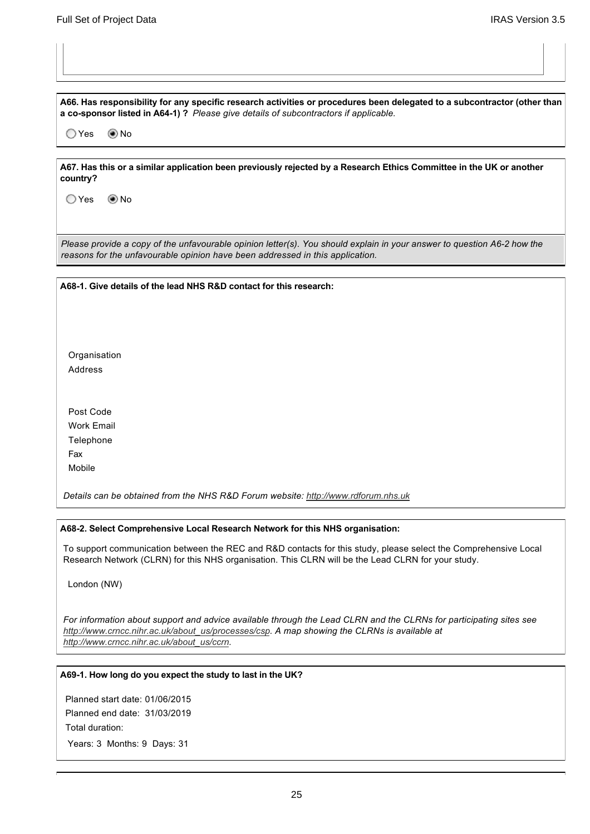**A66. Has responsibility for any specific research activities or procedures been delegated to a subcontractor (other than a cosponsor listed in A641) ?** *Please give details of subcontractors if applicable.*

O Yes **Mo** No

**A67. Has this or a similar application been previously rejected by a Research Ethics Committee in the UK or another country?** 

○Yes ◎No

*Please provide a copy of the unfavourable opinion letter(s). You should explain in your answer to question A6-2 how the reasons for the unfavourable opinion have been addressed in this application.*

**A681. Give details of the lead NHS R&D contact for this research:**

Organisation Address

Post Code Work Email Telephone Fax Mobile

*Details can be obtained from the NHS R&D Forum website: [http://www.rdforum.nhs.uk](http://www.rdforum.nhs.uk/)*

#### **A682. Select Comprehensive Local Research Network for this NHS organisation:**

To support communication between the REC and R&D contacts for this study, please select the Comprehensive Local Research Network (CLRN) for this NHS organisation. This CLRN will be the Lead CLRN for your study.

London (NW)

*[For information about support and advice available](http://www.crncc.nihr.ac.uk/about_us/processes/csp) through the Lead CLRN and the CLRNs for participating sites see [http://www.crncc.nihr.ac.uk/about\\_us/proc](http://www.crncc.nihr.ac.uk/about_us/ccrn)esses/csp. A map showing the CLRNs is available at http://www.crncc.nihr.ac.uk/about\_us/ccrn.*

#### **A691. How long do you expect the study to last in the UK?**

Planned start date: 01/06/2015 Planned end date: 31/03/2019 Total duration:

Years: 3 Months: 9 Days: 31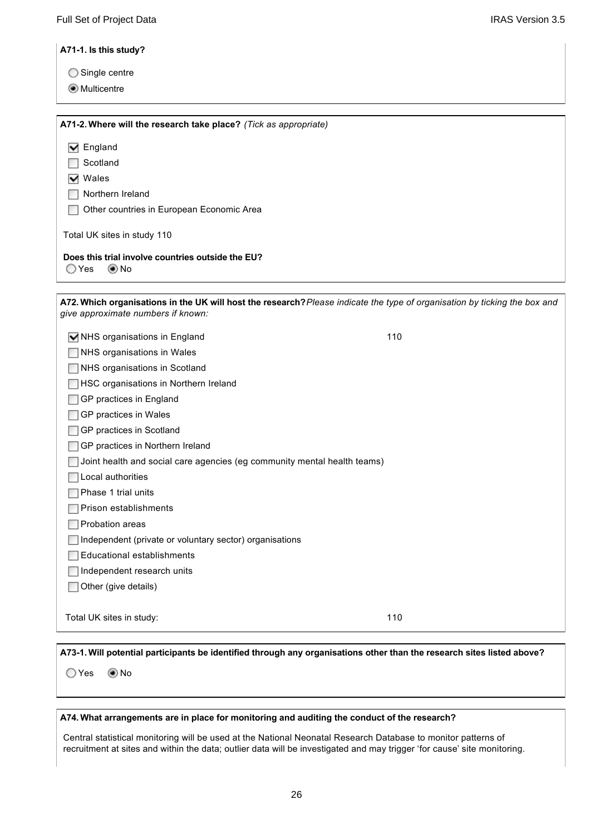**A711. Is this study?**

- ◯ Single centre
- **Multicentre**

**A712. Where will the research take place?** *(Tick as appropriate)* Total UK sites in study 110 **Does this trial involve countries outside the EU? M** England **□** Scotland **▽** Wales Northern Ireland Other countries in European Economic Area  $OYes$   $ONO$ **A72. Which organisations in the UK will host the research?***Please indicate the type of organisation by ticking the box and give approximate numbers if known:* **NHS** organisations in England 110 NHS organisations in Wales NHS organisations in Scotland **HSC organisations in Northern Ireland □GP** practices in England **□GP** practices in Wales □GP practices in Scotland □GP practices in Northern Ireland  $\Box$  Joint health and social care agencies (eg community mental health teams)  $\Box$  Local authorities Phase 1 trial units  $\Box$  Prison establishments **Probation areas**  $\Box$  Independent (private or voluntary sector) organisations Educational establishments Independent research units Other (give details) Total UK sites in study: 110 **A731. Will potential participants be identified through any organisations other than the research sites listed above?**

○Yes ◉No

#### **A74. What arrangements are in place for monitoring and auditing the conduct of the research?**

Central statistical monitoring will be used at the National Neonatal Research Database to monitor patterns of recruitment at sites and within the data; outlier data will be investigated and may trigger 'for cause' site monitoring.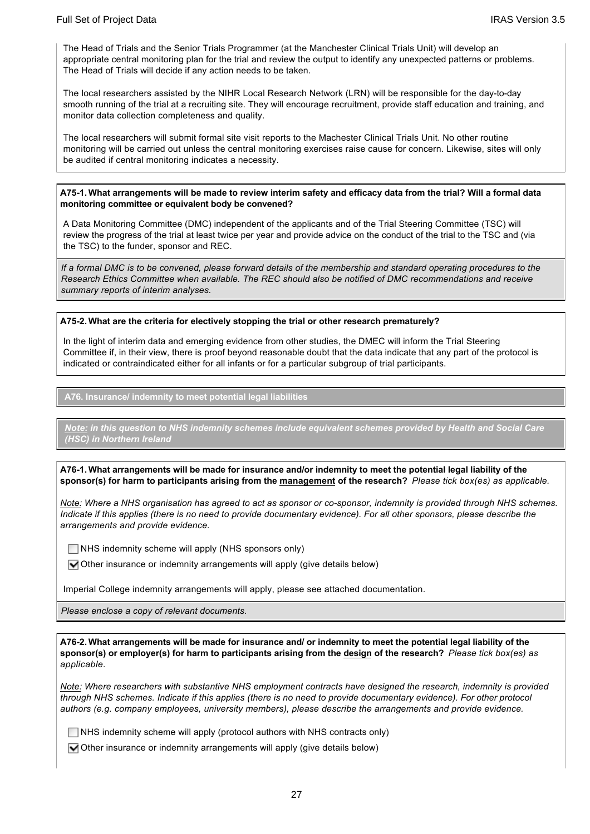The Head of Trials and the Senior Trials Programmer (at the Manchester Clinical Trials Unit) will develop an appropriate central monitoring plan for the trial and review the output to identify any unexpected patterns or problems. The Head of Trials will decide if any action needs to be taken.

The local researchers assisted by the NIHR Local Research Network (LRN) will be responsible for the day-to-day smooth running of the trial at a recruiting site. They will encourage recruitment, provide staff education and training, and monitor data collection completeness and quality.

The local researchers will submit formal site visit reports to the Machester Clinical Trials Unit. No other routine monitoring will be carried out unless the central monitoring exercises raise cause for concern. Likewise, sites will only be audited if central monitoring indicates a necessity.

#### **A751. What arrangements will be made to review interim safety and efficacy data from the trial? Will a formal data monitoring committee or equivalent body be convened?**

A Data Monitoring Committee (DMC) independent of the applicants and of the Trial Steering Committee (TSC) will review the progress of the trial at least twice per year and provide advice on the conduct of the trial to the TSC and (via the TSC) to the funder, sponsor and REC.

*If a formal DMC is to be convened, please forward details of the membership and standard operating procedures to the Research Ethics Committee when available. The REC should also be notified of DMC recommendations and receive summary reports of interim analyses.*

#### **A752. What are the criteria for electively stopping the trial or other research prematurely?**

In the light of interim data and emerging evidence from other studies, the DMEC will inform the Trial Steering Committee if, in their view, there is proof beyond reasonable doubt that the data indicate that any part of the protocol is indicated or contraindicated either for all infants or for a particular subgroup of trial participants.

**A76. Insurance/ indemnity to meet potential legal liabilities**

*Note: in this question to NHS indemnity schemes include equivalent schemes provided by Health and Social Care (HSC) in Northern Ireland*

**A761. What arrangements will be made for insurance and/or indemnity to meet the potential legal liability of the sponsor(s) for harm to participants arising from the management of the research?** *Please tick box(es) as applicable.*

*Note: Where a NHS organisation has agreed to act as sponsor or co-sponsor, indemnity is provided through NHS schemes. Indicate if this applies (there is no need to provide documentary evidence). For all other sponsors, please describe the arrangements and provide evidence.*

 $\Box$  NHS indemnity scheme will apply (NHS sponsors only)

 $\blacksquare$  Other insurance or indemnity arrangements will apply (give details below)

Imperial College indemnity arrangements will apply, please see attached documentation.

*Please enclose a copy of relevant documents.*

**A762. What arrangements will be made for insurance and/ or indemnity to meet the potential legal liability of the sponsor(s) or employer(s) for harm to participants arising from the design of the research?** *Please tick box(es) as applicable.*

*Note: Where researchers with substantive NHS employment contracts have designed the research, indemnity is provided through NHS schemes. Indicate if this applies (there is no need to provide documentary evidence). For other protocol authors (e.g. company employees, university members), please describe the arrangements and provide evidence.*

 $\Box$  NHS indemnity scheme will apply (protocol authors with NHS contracts only)

 $\blacktriangleright$  Other insurance or indemnity arrangements will apply (give details below)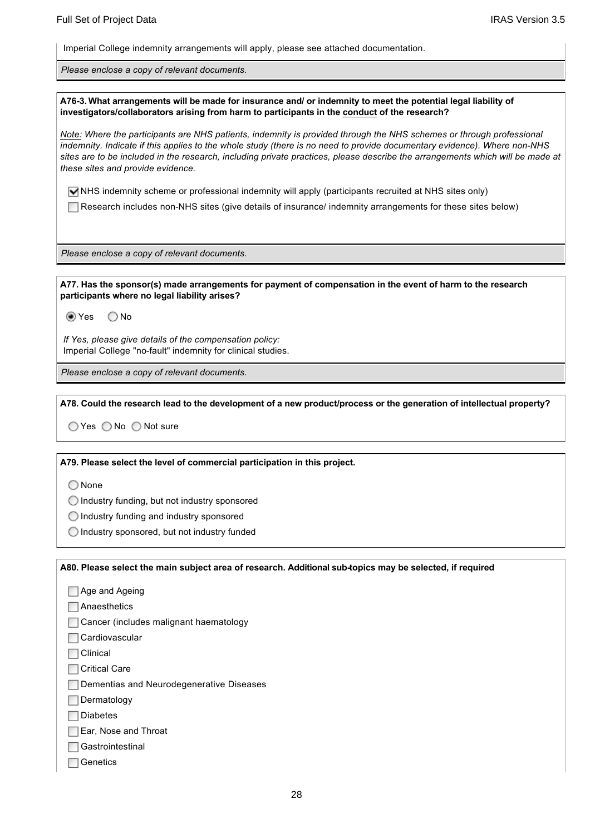Imperial College indemnity arrangements will apply, please see attached documentation.

*Please enclose a copy of relevant documents.*

**A763. What arrangements will be made for insurance and/ or indemnity to meet the potential legal liability of investigators/collaborators arising from harm to participants in the conduct of the research?**

*Note: Where the participants are NHS patients, indemnity is provided through the NHS schemes or through professional indemnity. Indicate if this applies to the whole study (there is no need to provide documentary evidence). Where non-NHS sites are to be included in the research, including private practices, please describe the arrangements which will be made at these sites and provide evidence.*

 $\blacksquare$  NHS indemnity scheme or professional indemnity will apply (participants recruited at NHS sites only)

Research includes non-NHS sites (give details of insurance/ indemnity arrangements for these sites below)

*Please enclose a copy of relevant documents.*

**A77. Has the sponsor(s) made arrangements for payment of compensation in the event of harm to the research participants where no legal liability arises?**

tes ONo

*If Yes, please give details of the compensation policy:* Imperial College "no-fault" indemnity for clinical studies.

*Please enclose a copy of relevant documents.*

**A78. Could the research lead to the development of a new product/process or the generation of intellectual property?**

 $\bigcirc$  Yes  $\bigcirc$  No  $\bigcirc$  Not sure

**A79. Please select the level of commercial participation in this project.**

◯ None

 $\bigcirc$  Industry funding, but not industry sponsored

 $\bigcirc$  Industry funding and industry sponsored

 $\bigcirc$  Industry sponsored, but not industry funded

**A80. Please select the main subject area of research. Additional subtopics may be selected, if required**

Age and Ageing **Anaesthetics** Cancer (includes malignant haematology Cardiovascular **N** Clinical **□ Critical Care** Dementias and Neurodegenerative Diseases Dermatology **□** Diabetes Ear, Nose and Throat **□Gastrointestinal □**Genetics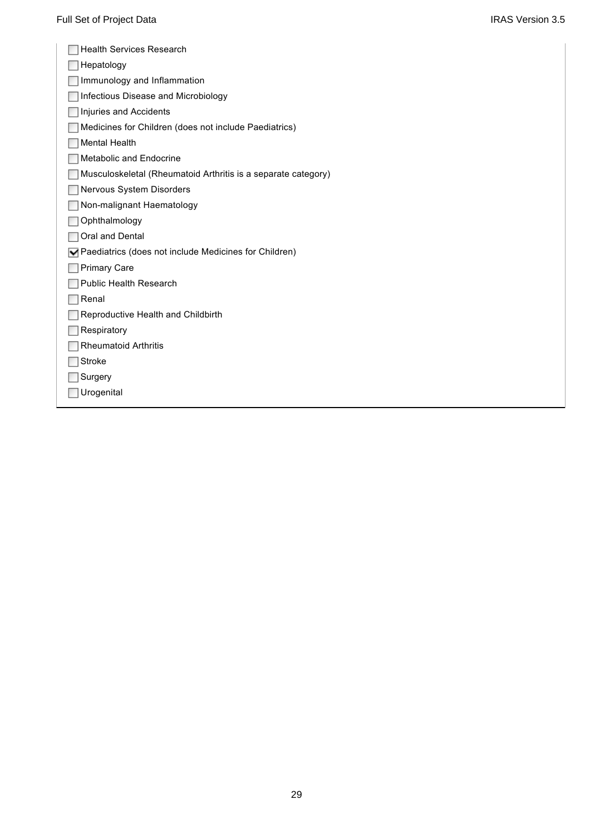| <b>Health Services Research</b>                                             |
|-----------------------------------------------------------------------------|
| Hepatology                                                                  |
| Immunology and Inflammation                                                 |
| Infectious Disease and Microbiology                                         |
| Injuries and Accidents                                                      |
| Medicines for Children (does not include Paediatrics)                       |
| <b>Mental Health</b>                                                        |
| <b>Metabolic and Endocrine</b>                                              |
| Musculoskeletal (Rheumatoid Arthritis is a separate category)               |
| Nervous System Disorders                                                    |
| Non-malignant Haematology                                                   |
| Ophthalmology                                                               |
| Oral and Dental                                                             |
| $\blacktriangleright$ Paediatrics (does not include Medicines for Children) |
| <b>Primary Care</b>                                                         |
| <b>Public Health Research</b>                                               |
| Renal                                                                       |
| Reproductive Health and Childbirth                                          |
| Respiratory                                                                 |
| <b>Rheumatoid Arthritis</b>                                                 |
| Stroke                                                                      |
| Surgery                                                                     |
| Urogenital                                                                  |
|                                                                             |